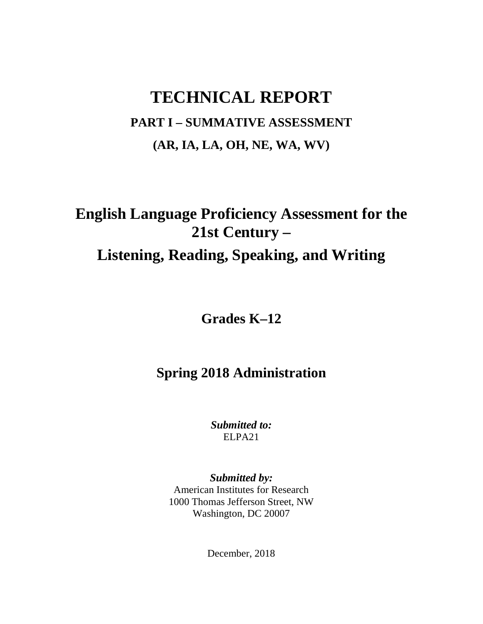# **TECHNICAL REPORT PART I – SUMMATIVE ASSESSMENT (AR, IA, LA, OH, NE, WA, WV)**

# **English Language Proficiency Assessment for the 21st Century – Listening, Reading, Speaking, and Writing**

**Grades K–12**

# **Spring 2018 Administration**

*Submitted to:* ELPA21

*Submitted by:* American Institutes for Research 1000 Thomas Jefferson Street, NW Washington, DC 20007

December, 2018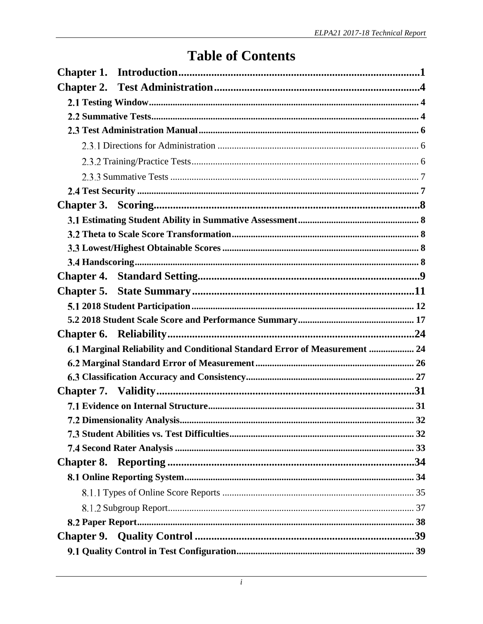# **Table of Contents**

| 6.1 Marginal Reliability and Conditional Standard Error of Measurement  24 |  |
|----------------------------------------------------------------------------|--|
|                                                                            |  |
|                                                                            |  |
|                                                                            |  |
|                                                                            |  |
|                                                                            |  |
|                                                                            |  |
|                                                                            |  |
|                                                                            |  |
|                                                                            |  |
|                                                                            |  |
|                                                                            |  |
|                                                                            |  |
|                                                                            |  |
|                                                                            |  |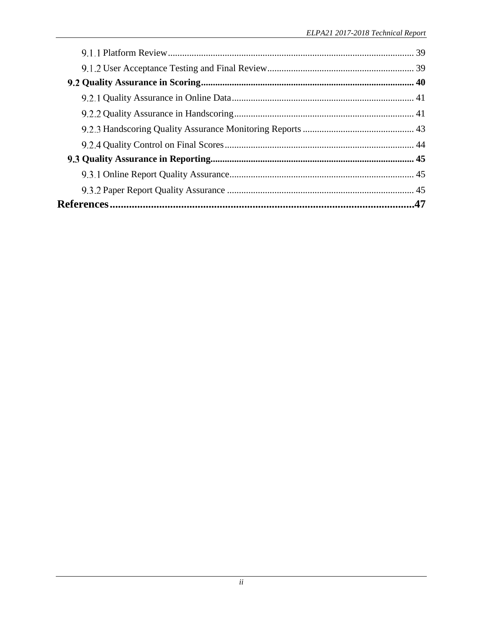| .47 |
|-----|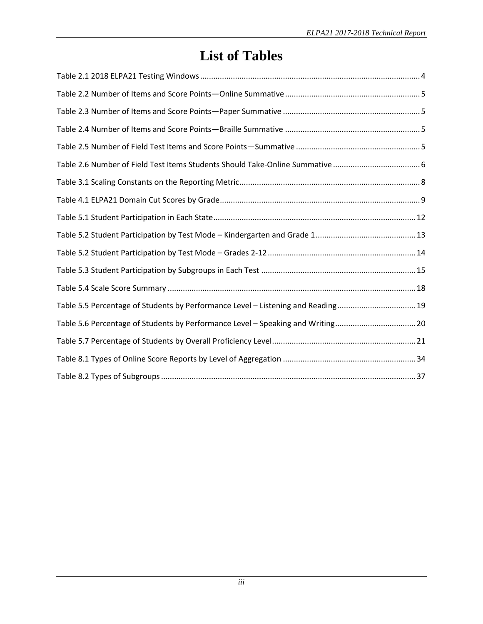# **List of Tables**

| Table 2.6 Number of Field Test Items Students Should Take-Online Summative      |
|---------------------------------------------------------------------------------|
|                                                                                 |
|                                                                                 |
|                                                                                 |
|                                                                                 |
|                                                                                 |
|                                                                                 |
|                                                                                 |
| Table 5.5 Percentage of Students by Performance Level - Listening and Reading19 |
| Table 5.6 Percentage of Students by Performance Level - Speaking and Writing20  |
|                                                                                 |
|                                                                                 |
|                                                                                 |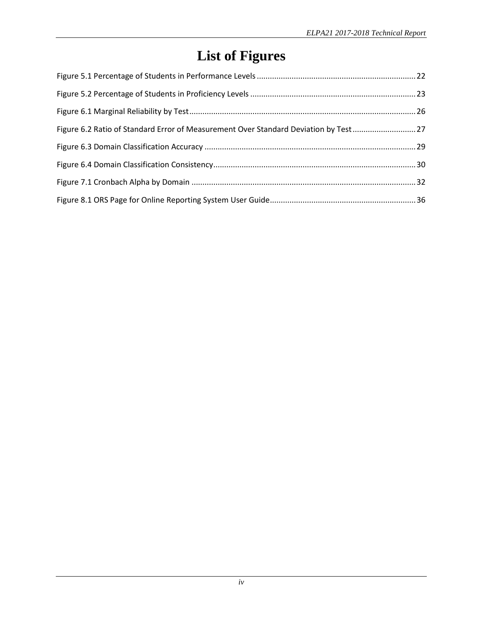# **List of Figures**

| Figure 6.2 Ratio of Standard Error of Measurement Over Standard Deviation by Test |  |
|-----------------------------------------------------------------------------------|--|
|                                                                                   |  |
|                                                                                   |  |
|                                                                                   |  |
|                                                                                   |  |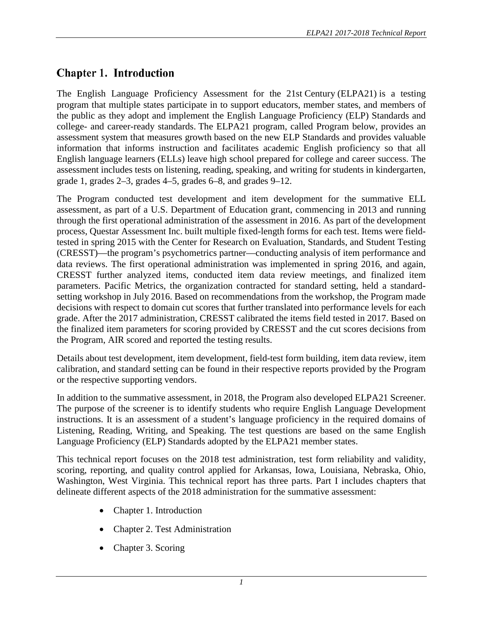# <span id="page-5-0"></span>**Chapter 1. Introduction**

The English Language Proficiency Assessment for the 21st Century (ELPA21) is a testing program that multiple states participate in to support educators, member states, and members of the public as they adopt and implement the English Language Proficiency (ELP) Standards and college- and career-ready standards. The ELPA21 program, called Program below, provides an assessment system that measures growth based on the new ELP Standards and provides valuable information that informs instruction and facilitates academic English proficiency so that all English language learners (ELLs) leave high school prepared for college and career success. The assessment includes tests on listening, reading, speaking, and writing for students in kindergarten, grade 1, grades 2–3, grades 4–5, grades 6–8, and grades 9–12.

The Program conducted test development and item development for the summative ELL assessment, as part of a U.S. Department of Education grant, commencing in 2013 and running through the first operational administration of the assessment in 2016. As part of the development process, Questar Assessment Inc. built multiple fixed-length forms for each test. Items were fieldtested in spring 2015 with the Center for Research on Evaluation, Standards, and Student Testing (CRESST)—the program's psychometrics partner—conducting analysis of item performance and data reviews. The first operational administration was implemented in spring 2016, and again, CRESST further analyzed items, conducted item data review meetings, and finalized item parameters. Pacific Metrics, the organization contracted for standard setting, held a standardsetting workshop in July 2016. Based on recommendations from the workshop, the Program made decisions with respect to domain cut scores that further translated into performance levels for each grade. After the 2017 administration, CRESST calibrated the items field tested in 2017. Based on the finalized item parameters for scoring provided by CRESST and the cut scores decisions from the Program, AIR scored and reported the testing results.

Details about test development, item development, field-test form building, item data review, item calibration, and standard setting can be found in their respective reports provided by the Program or the respective supporting vendors.

In addition to the summative assessment, in 2018, the Program also developed ELPA21 Screener. The purpose of the screener is to identify students who require English Language Development instructions. It is an assessment of a student's language proficiency in the required domains of Listening, Reading, Writing, and Speaking. The test questions are based on the same English Language Proficiency (ELP) Standards adopted by the ELPA21 member states.

This technical report focuses on the 2018 test administration, test form reliability and validity, scoring, reporting, and quality control applied for Arkansas, Iowa, Louisiana, Nebraska, Ohio, Washington, West Virginia. This technical report has three parts. Part I includes chapters that delineate different aspects of the 2018 administration for the summative assessment:

- Chapter 1. Introduction
- Chapter 2. Test Administration
- Chapter 3. Scoring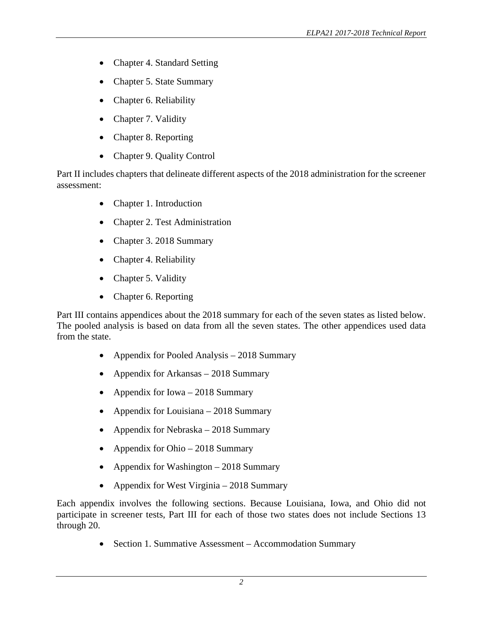- Chapter 4. Standard Setting
- Chapter 5. State Summary
- Chapter 6. Reliability
- Chapter 7. Validity
- Chapter 8. Reporting
- Chapter 9. Quality Control

Part II includes chapters that delineate different aspects of the 2018 administration for the screener assessment:

- Chapter 1. Introduction
- Chapter 2. Test Administration
- Chapter 3. 2018 Summary
- Chapter 4. Reliability
- Chapter 5. Validity
- Chapter 6. Reporting

Part III contains appendices about the 2018 summary for each of the seven states as listed below. The pooled analysis is based on data from all the seven states. The other appendices used data from the state.

- Appendix for Pooled Analysis 2018 Summary
- Appendix for Arkansas 2018 Summary
- Appendix for Iowa 2018 Summary
- Appendix for Louisiana 2018 Summary
- Appendix for Nebraska 2018 Summary
- Appendix for Ohio 2018 Summary
- Appendix for Washington 2018 Summary
- Appendix for West Virginia 2018 Summary

Each appendix involves the following sections. Because Louisiana, Iowa, and Ohio did not participate in screener tests, Part III for each of those two states does not include Sections 13 through 20.

• Section 1. Summative Assessment – Accommodation Summary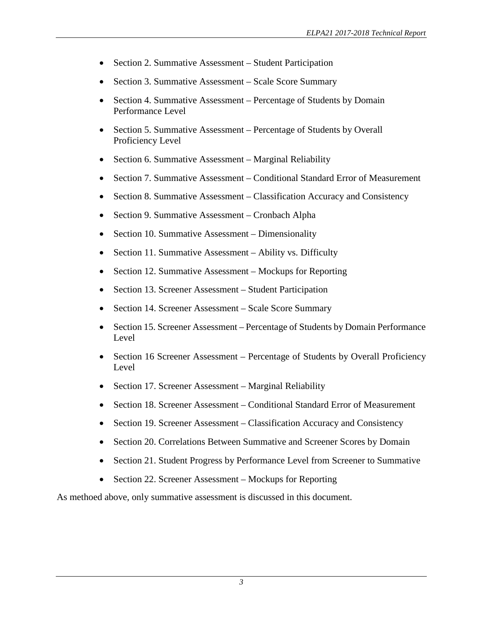- Section 2. Summative Assessment Student Participation
- Section 3. Summative Assessment Scale Score Summary
- Section 4. Summative Assessment Percentage of Students by Domain Performance Level
- Section 5. Summative Assessment Percentage of Students by Overall Proficiency Level
- Section 6. Summative Assessment Marginal Reliability
- Section 7. Summative Assessment Conditional Standard Error of Measurement
- Section 8. Summative Assessment Classification Accuracy and Consistency
- Section 9. Summative Assessment Cronbach Alpha
- Section 10. Summative Assessment Dimensionality
- Section 11. Summative Assessment Ability vs. Difficulty
- Section 12. Summative Assessment Mockups for Reporting
- Section 13. Screener Assessment Student Participation
- Section 14. Screener Assessment Scale Score Summary
- Section 15. Screener Assessment Percentage of Students by Domain Performance Level
- Section 16 Screener Assessment Percentage of Students by Overall Proficiency Level
- Section 17. Screener Assessment Marginal Reliability
- Section 18. Screener Assessment Conditional Standard Error of Measurement
- Section 19. Screener Assessment Classification Accuracy and Consistency
- Section 20. Correlations Between Summative and Screener Scores by Domain
- Section 21. Student Progress by Performance Level from Screener to Summative
- Section 22. Screener Assessment Mockups for Reporting

As methoed above, only summative assessment is discussed in this document.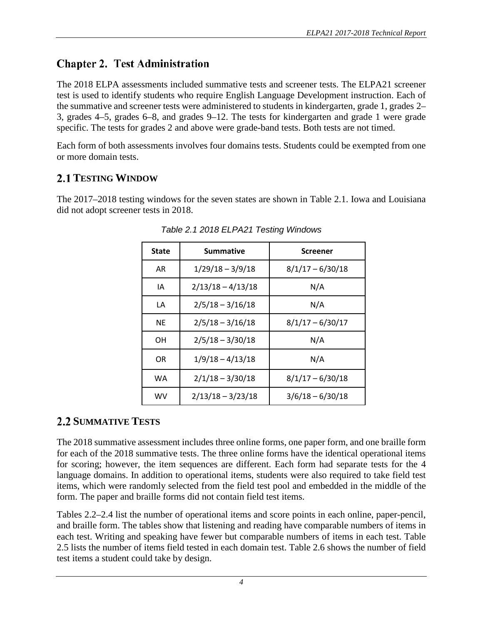# <span id="page-8-0"></span>**Chapter 2. Test Administration**

The 2018 ELPA assessments included summative tests and screener tests. The ELPA21 screener test is used to identify students who require English Language Development instruction. Each of the summative and screener tests were administered to students in kindergarten, grade 1, grades 2– 3, grades 4–5, grades 6–8, and grades 9–12. The tests for kindergarten and grade 1 were grade specific. The tests for grades 2 and above were grade-band tests. Both tests are not timed.

Each form of both assessments involves four domains tests. Students could be exempted from one or more domain tests.

## <span id="page-8-1"></span>**TESTING WINDOW**

<span id="page-8-3"></span>The 2017–2018 testing windows for the seven states are shown in Table 2.1. Iowa and Louisiana did not adopt screener tests in 2018.

| State     | Summative           | Screener           |
|-----------|---------------------|--------------------|
| <b>AR</b> | $1/29/18 - 3/9/18$  | $8/1/17 - 6/30/18$ |
| IΑ        | $2/13/18 - 4/13/18$ | N/A                |
| LA        | $2/5/18 - 3/16/18$  | N/A                |
| <b>NE</b> | $2/5/18 - 3/16/18$  | $8/1/17 - 6/30/17$ |
| OН        | $2/5/18 - 3/30/18$  | N/A                |
| OR        | $1/9/18 - 4/13/18$  | N/A                |
| WA        | $2/1/18 - 3/30/18$  | $8/1/17 - 6/30/18$ |
| wv        | $2/13/18 - 3/23/18$ | $3/6/18 - 6/30/18$ |

*Table 2.1 2018 ELPA21 Testing Windows*

## <span id="page-8-2"></span>**2.2 SUMMATIVE TESTS**

The 2018 summative assessment includes three online forms, one paper form, and one braille form for each of the 2018 summative tests. The three online forms have the identical operational items for scoring; however, the item sequences are different. Each form had separate tests for the 4 language domains. In addition to operational items, students were also required to take field test items, which were randomly selected from the field test pool and embedded in the middle of the form. The paper and braille forms did not contain field test items.

Tables 2.2–2.4 list the number of operational items and score points in each online, paper-pencil, and braille form. The tables show that listening and reading have comparable numbers of items in each test. Writing and speaking have fewer but comparable numbers of items in each test. Table 2.5 lists the number of items field tested in each domain test. Table 2.6 shows the number of field test items a student could take by design.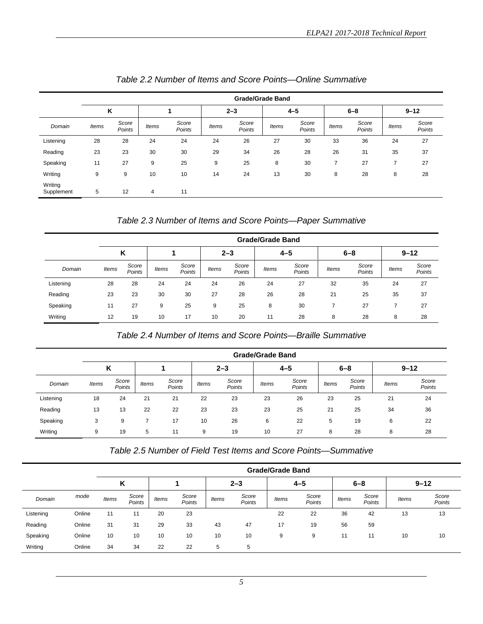<span id="page-9-0"></span>

|                       |       | <b>Grade/Grade Band</b> |                |                 |              |                 |              |                 |              |                 |                |                 |  |
|-----------------------|-------|-------------------------|----------------|-----------------|--------------|-----------------|--------------|-----------------|--------------|-----------------|----------------|-----------------|--|
|                       | Κ     |                         |                |                 |              | $2 - 3$         |              | $4 - 5$         |              | $6 - 8$         |                | $9 - 12$        |  |
| Domain                | Items | Score<br>Points         | <b>Items</b>   | Score<br>Points | <b>Items</b> | Score<br>Points | <b>Items</b> | Score<br>Points | <b>Items</b> | Score<br>Points | <b>Items</b>   | Score<br>Points |  |
| Listening             | 28    | 28                      | 24             | 24              | 24           | 26              | 27           | 30              | 33           | 36              | 24             | 27              |  |
| Reading               | 23    | 23                      | 30             | 30              | 29           | 34              | 26           | 28              | 26           | 31              | 35             | 37              |  |
| Speaking              | 11    | 27                      | 9              | 25              | 9            | 25              | 8            | 30              | 7            | 27              | $\overline{7}$ | 27              |  |
| Writing               | 9     | 9                       | 10             | 10              | 14           | 24              | 13           | 30              | 8            | 28              | 8              | 28              |  |
| Writing<br>Supplement | 5     | 12                      | $\overline{4}$ | 11              |              |                 |              |                 |              |                 |                |                 |  |

#### *Table 2.3 Number of Items and Score Points—Paper Summative*

<span id="page-9-1"></span>

|           |       | <b>Grade/Grade Band</b> |       |                 |         |                 |              |                 |              |                 |       |                 |  |
|-----------|-------|-------------------------|-------|-----------------|---------|-----------------|--------------|-----------------|--------------|-----------------|-------|-----------------|--|
|           |       | K                       |       |                 | $2 - 3$ |                 |              | $4 - 5$         |              | $6 - 8$         |       | $9 - 12$        |  |
| Domain    | Items | Score<br>Points         | Items | Score<br>Points | Items   | Score<br>Points | <b>Items</b> | Score<br>Points | <b>Items</b> | Score<br>Points | Items | Score<br>Points |  |
| Listening | 28    | 28                      | 24    | 24              | 24      | 26              | 24           | 27              | 32           | 35              | 24    | 27              |  |
| Reading   | 23    | 23                      | 30    | 30              | 27      | 28              | 26           | 28              | 21           | 25              | 35    | 37              |  |
| Speaking  | 11    | 27                      | 9     | 25              | 9       | 25              | 8            | 30              |              | 27              |       | 27              |  |
| Writing   | 12    | 19                      | 10    | 17              | 10      | 20              | 11           | 28              | 8            | 28              | 8     | 28              |  |

#### *Table 2.4 Number of Items and Score Points—Braille Summative*

<span id="page-9-2"></span>

|           |       | <b>Grade/Grade Band</b> |              |                 |              |                 |       |                 |       |                 |       |                 |
|-----------|-------|-------------------------|--------------|-----------------|--------------|-----------------|-------|-----------------|-------|-----------------|-------|-----------------|
|           | κ     |                         |              |                 |              | $2 - 3$         |       | $4 - 5$         |       | $6 - 8$         |       | $9 - 12$        |
| Domain    | Items | Score<br>Points         | <b>Items</b> | Score<br>Points | <b>Items</b> | Score<br>Points | ltems | Score<br>Points | Items | Score<br>Points | Items | Score<br>Points |
| Listening | 18    | 24                      | 21           | 21              | 22           | 23              | 23    | 26              | 23    | 25              | 21    | 24              |
| Reading   | 13    | 13                      | 22           | 22              | 23           | 23              | 23    | 25              | 21    | 25              | 34    | 36              |
| Speaking  | 3     | 9                       |              | 17              | 10           | 26              | 6     | 22              | 5     | 19              | 6     | 22              |
| Writing   | 9     | 19                      | 5            | 11              | 9            | 19              | 10    | 27              | 8     | 28              | 8     | 28              |

*Table 2.5 Number of Field Test Items and Score Points—Summative*

<span id="page-9-3"></span>

|           |        |              | <b>Grade/Grade Band</b> |              |                 |       |                 |       |                 |              |                 |          |                 |
|-----------|--------|--------------|-------------------------|--------------|-----------------|-------|-----------------|-------|-----------------|--------------|-----------------|----------|-----------------|
|           |        | ĸ            |                         |              |                 |       | $2 - 3$         |       | $4 - 5$         |              | $6 - 8$         | $9 - 12$ |                 |
| Domain    | mode   | <b>Items</b> | Score<br>Points         | <b>Items</b> | Score<br>Points | Items | Score<br>Points | Items | Score<br>Points | <b>Items</b> | Score<br>Points | Items    | Score<br>Points |
| Listening | Online | 11           | 11                      | 20           | 23              |       |                 | 22    | 22              | 36           | 42              | 13       | 13              |
| Reading   | Online | 31           | 31                      | 29           | 33              | 43    | 47              | 17    | 19              | 56           | 59              |          |                 |
| Speaking  | Online | 10           | 10                      | 10           | 10              | 10    | 10              | 9     | 9               | 11           | 11              | 10       | 10              |
| Writing   | Online | 34           | 34                      | 22           | 22              | 5     | 5               |       |                 |              |                 |          |                 |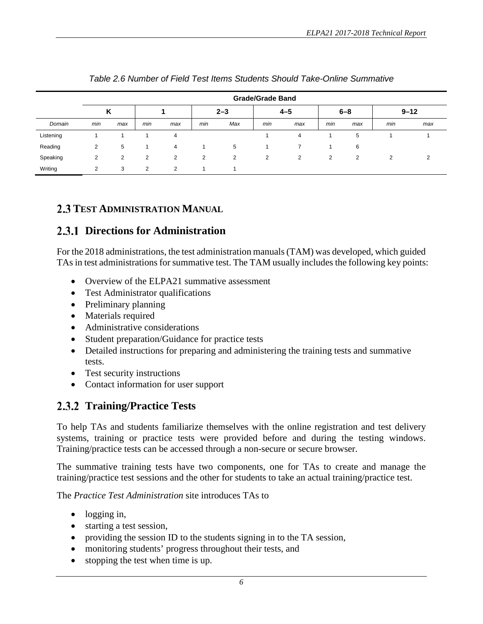<span id="page-10-3"></span>

|           |     | <b>Grade/Grade Band</b> |                |                |     |                |                |         |     |         |     |          |  |  |  |
|-----------|-----|-------------------------|----------------|----------------|-----|----------------|----------------|---------|-----|---------|-----|----------|--|--|--|
|           | Κ   |                         |                |                |     | $2 - 3$        |                | $4 - 5$ |     | $6 - 8$ |     | $9 - 12$ |  |  |  |
| Domain    | min | max                     | min            | max            | min | Max            | min            | max     | min | max     | min | max      |  |  |  |
| Listening |     |                         |                | 4              |     |                |                | 4       |     | 5       |     |          |  |  |  |
| Reading   | 2   | 5                       |                | $\overline{4}$ | и   | 5              |                | 7       |     | 6       |     |          |  |  |  |
| Speaking  | 2   | 2                       | $\overline{2}$ | 2              | 2   | $\overline{2}$ | $\overline{2}$ | 2       | 2   | 2       | 2   | ◠        |  |  |  |
| Writing   | 2   | 3                       | 2              | 2              |     |                |                |         |     |         |     |          |  |  |  |

#### *Table 2.6 Number of Field Test Items Students Should Take-Online Summative*

### <span id="page-10-0"></span>**TEST ADMINISTRATION MANUAL**

## <span id="page-10-1"></span>**Directions for Administration**

For the 2018 administrations, the test administration manuals (TAM) was developed, which guided TAs in test administrations for summative test. The TAM usually includes the following key points:

- Overview of the ELPA21 summative assessment
- Test Administrator qualifications
- Preliminary planning
- Materials required
- Administrative considerations
- Student preparation/Guidance for practice tests
- Detailed instructions for preparing and administering the training tests and summative tests.
- Test security instructions
- Contact information for user support

## <span id="page-10-2"></span>**Training/Practice Tests**

To help TAs and students familiarize themselves with the online registration and test delivery systems, training or practice tests were provided before and during the testing windows. Training/practice tests can be accessed through a non-secure or secure browser.

The summative training tests have two components, one for TAs to create and manage the training/practice test sessions and the other for students to take an actual training/practice test.

The *Practice Test Administration* site introduces TAs to

- logging in,
- starting a test session,
- providing the session ID to the students signing in to the TA session,
- monitoring students' progress throughout their tests, and
- stopping the test when time is up.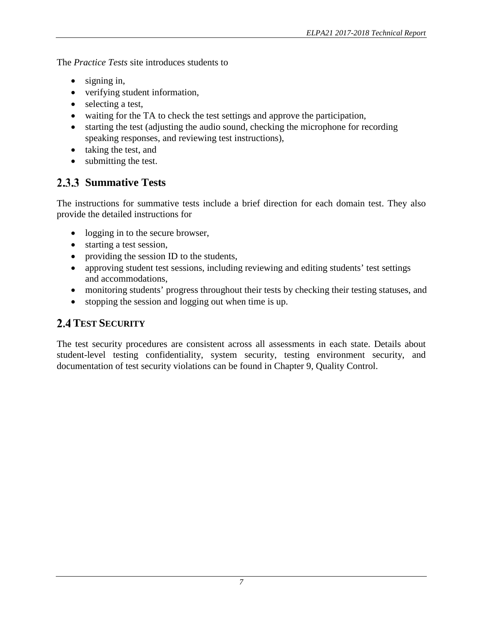The *Practice Tests* site introduces students to

- signing in,
- verifying student information,
- selecting a test,
- waiting for the TA to check the test settings and approve the participation,
- starting the test (adjusting the audio sound, checking the microphone for recording speaking responses, and reviewing test instructions),
- taking the test, and
- submitting the test.

# <span id="page-11-0"></span>**2.3.3 Summative Tests**

The instructions for summative tests include a brief direction for each domain test. They also provide the detailed instructions for

- logging in to the secure browser,
- starting a test session,
- providing the session ID to the students,
- approving student test sessions, including reviewing and editing students' test settings and accommodations,
- monitoring students' progress throughout their tests by checking their testing statuses, and
- <span id="page-11-1"></span>• stopping the session and logging out when time is up.

## **2.4 TEST SECURITY**

The test security procedures are consistent across all assessments in each state. Details about student-level testing confidentiality, system security, testing environment security, and documentation of test security violations can be found in Chapter 9, Quality Control.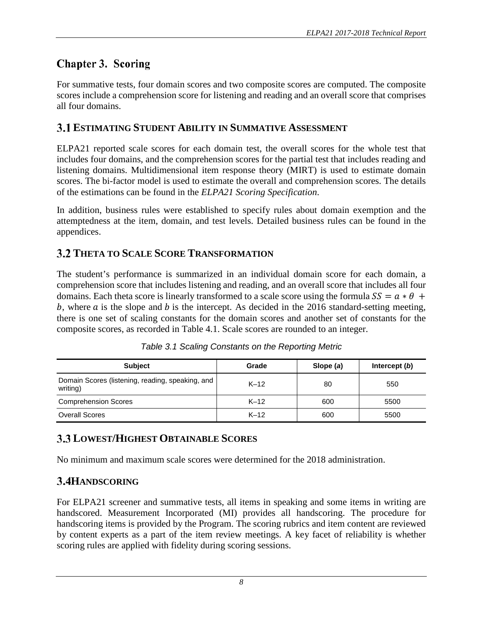# <span id="page-12-0"></span>**Chapter 3. Scoring**

For summative tests, four domain scores and two composite scores are computed. The composite scores include a comprehension score for listening and reading and an overall score that comprises all four domains.

## <span id="page-12-1"></span>**ESTIMATING STUDENT ABILITY IN SUMMATIVE ASSESSMENT**

ELPA21 reported scale scores for each domain test, the overall scores for the whole test that includes four domains, and the comprehension scores for the partial test that includes reading and listening domains. Multidimensional item response theory (MIRT) is used to estimate domain scores. The bi-factor model is used to estimate the overall and comprehension scores. The details of the estimations can be found in the *ELPA21 Scoring Specification*.

In addition, business rules were established to specify rules about domain exemption and the attemptedness at the item, domain, and test levels. Detailed business rules can be found in the appendices.

## <span id="page-12-2"></span>**THETA TO SCALE SCORE TRANSFORMATION**

The student's performance is summarized in an individual domain score for each domain, a comprehension score that includes listening and reading, and an overall score that includes all four domains. Each theta score is linearly transformed to a scale score using the formula  $SS = a * \theta +$ b, where  $\alpha$  is the slope and  $\beta$  is the intercept. As decided in the 2016 standard-setting meeting, there is one set of scaling constants for the domain scores and another set of constants for the composite scores, as recorded in Table 4.1. Scale scores are rounded to an integer.

<span id="page-12-5"></span>

| <b>Subject</b>                                               | Grade  | Slope (a) | Intercept (b) |  |
|--------------------------------------------------------------|--------|-----------|---------------|--|
| Domain Scores (listening, reading, speaking, and<br>writing) | $K-12$ | 80        | 550           |  |
| <b>Comprehension Scores</b>                                  | $K-12$ | 600       | 5500          |  |
| <b>Overall Scores</b>                                        | $K-12$ | 600       | 5500          |  |

## <span id="page-12-3"></span>**3.3 LOWEST/HIGHEST OBTAINABLE SCORES**

No minimum and maximum scale scores were determined for the 2018 administration.

## <span id="page-12-4"></span>**3.4HANDSCORING**

For ELPA21 screener and summative tests, all items in speaking and some items in writing are handscored. Measurement Incorporated (MI) provides all handscoring. The procedure for handscoring items is provided by the Program. The scoring rubrics and item content are reviewed by content experts as a part of the item review meetings. A key facet of reliability is whether scoring rules are applied with fidelity during scoring sessions.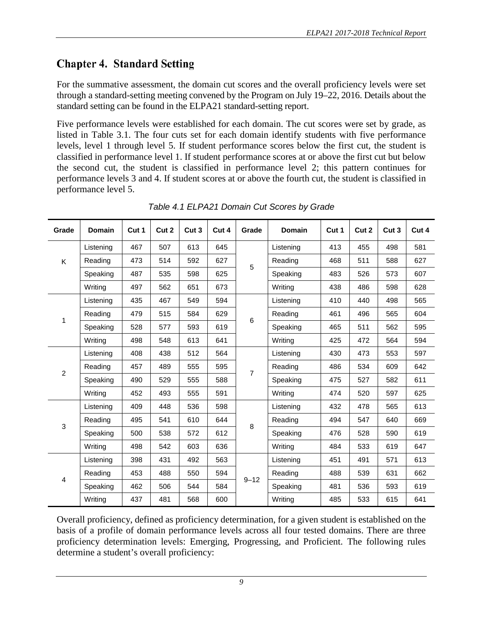# <span id="page-13-0"></span>**Chapter 4. Standard Setting**

For the summative assessment, the domain cut scores and the overall proficiency levels were set through a standard-setting meeting convened by the Program on July 19–22, 2016. Details about the standard setting can be found in the ELPA21 standard-setting report.

Five performance levels were established for each domain. The cut scores were set by grade, as listed in Table 3.1. The four cuts set for each domain identify students with five performance levels, level 1 through level 5. If student performance scores below the first cut, the student is classified in performance level 1. If student performance scores at or above the first cut but below the second cut, the student is classified in performance level 2; this pattern continues for performance levels 3 and 4. If student scores at or above the fourth cut, the student is classified in performance level 5.

<span id="page-13-1"></span>

| Grade          | <b>Domain</b> | Cut 1 | Cut <sub>2</sub> | Cut <sub>3</sub> | Cut 4 | Grade    | <b>Domain</b> | Cut 1 | Cut 2 | Cut <sub>3</sub> | Cut 4 |
|----------------|---------------|-------|------------------|------------------|-------|----------|---------------|-------|-------|------------------|-------|
|                | Listening     | 467   | 507              | 613              | 645   |          | Listening     | 413   | 455   | 498              | 581   |
| Κ              | Reading       | 473   | 514              | 592              | 627   | 5        | Reading       | 468   | 511   | 588              | 627   |
|                | Speaking      | 487   | 535              | 598              | 625   |          | Speaking      | 483   | 526   | 573              | 607   |
|                | Writing       | 497   | 562              | 651              | 673   |          | Writing       | 438   | 486   | 598              | 628   |
|                | Listening     | 435   | 467              | 549              | 594   |          | Listening     | 410   | 440   | 498              | 565   |
| $\mathbf{1}$   | Reading       | 479   | 515              | 584              | 629   | 6        | Reading       | 461   | 496   | 565              | 604   |
|                | Speaking      | 528   | 577              | 593              | 619   |          | Speaking      | 465   | 511   | 562              | 595   |
|                | Writing       | 498   | 548              | 613              | 641   |          | Writing       | 425   | 472   | 564              | 594   |
|                | Listening     | 408   | 438              | 512              | 564   |          | Listening     | 430   | 473   | 553              | 597   |
| $\overline{c}$ | Reading       | 457   | 489              | 555              | 595   | 7        | Reading       | 486   | 534   | 609              | 642   |
|                | Speaking      | 490   | 529              | 555              | 588   |          | Speaking      | 475   | 527   | 582              | 611   |
|                | Writing       | 452   | 493              | 555              | 591   |          | Writing       | 474   | 520   | 597              | 625   |
|                | Listening     | 409   | 448              | 536              | 598   |          | Listening     | 432   | 478   | 565              | 613   |
| 3              | Reading       | 495   | 541              | 610              | 644   | 8        | Reading       | 494   | 547   | 640              | 669   |
|                | Speaking      | 500   | 538              | 572              | 612   |          | Speaking      | 476   | 528   | 590              | 619   |
|                | Writing       | 498   | 542              | 603              | 636   |          | Writing       | 484   | 533   | 619              | 647   |
|                | Listening     | 398   | 431              | 492              | 563   |          | Listening     | 451   | 491   | 571              | 613   |
| 4              | Reading       | 453   | 488              | 550              | 594   |          | Reading       | 488   | 539   | 631              | 662   |
|                | Speaking      | 462   | 506              | 544              | 584   | $9 - 12$ | Speaking      | 481   | 536   | 593              | 619   |
|                | Writing       | 437   | 481              | 568              | 600   |          | Writing       | 485   | 533   | 615              | 641   |

*Table 4.1 ELPA21 Domain Cut Scores by Grade*

Overall proficiency, defined as proficiency determination, for a given student is established on the basis of a profile of domain performance levels across all four tested domains. There are three proficiency determination levels: Emerging, Progressing, and Proficient. The following rules determine a student's overall proficiency: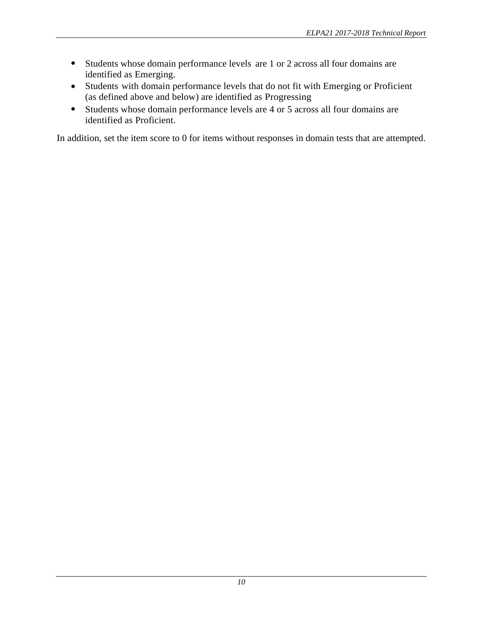- Students whose domain performance levels are 1 or 2 across all four domains are identified as Emerging.
- Students with domain performance levels that do not fit with Emerging or Proficient (as defined above and below) are identified as Progressing
- Students whose domain performance levels are 4 or 5 across all four domains are identified as Proficient.

In addition, set the item score to 0 for items without responses in domain tests that are attempted.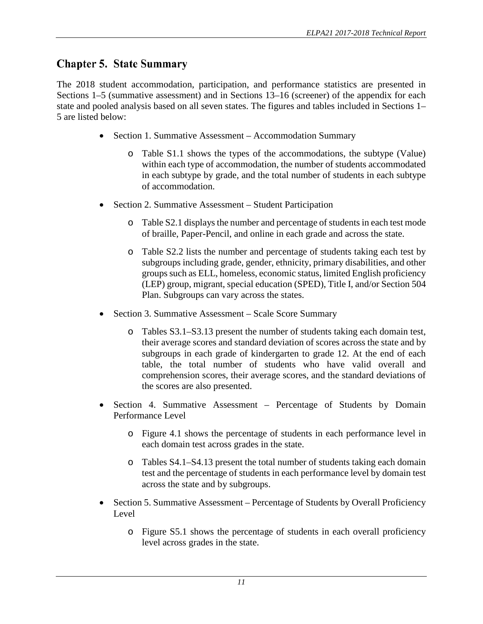# <span id="page-15-0"></span>**Chapter 5. State Summary**

The 2018 student accommodation, participation, and performance statistics are presented in Sections 1–5 (summative assessment) and in Sections 13–16 (screener) of the appendix for each state and pooled analysis based on all seven states. The figures and tables included in Sections 1– 5 are listed below:

- Section 1. Summative Assessment Accommodation Summary
	- o Table S1.1 shows the types of the accommodations, the subtype (Value) within each type of accommodation, the number of students accommodated in each subtype by grade, and the total number of students in each subtype of accommodation.
- Section 2. Summative Assessment Student Participation
	- o Table S2.1 displays the number and percentage of students in each test mode of braille, Paper-Pencil, and online in each grade and across the state.
	- o Table S2.2 lists the number and percentage of students taking each test by subgroups including grade, gender, ethnicity, primary disabilities, and other groups such as ELL, homeless, economic status, limited English proficiency (LEP) group, migrant, special education (SPED), Title I, and/or Section 504 Plan. Subgroups can vary across the states.
- Section 3. Summative Assessment Scale Score Summary
	- o Tables S3.1–S3.13 present the number of students taking each domain test, their average scores and standard deviation of scores across the state and by subgroups in each grade of kindergarten to grade 12. At the end of each table, the total number of students who have valid overall and comprehension scores, their average scores, and the standard deviations of the scores are also presented.
- Section 4. Summative Assessment Percentage of Students by Domain Performance Level
	- o Figure 4.1 shows the percentage of students in each performance level in each domain test across grades in the state.
	- o Tables S4.1–S4.13 present the total number of students taking each domain test and the percentage of students in each performance level by domain test across the state and by subgroups.
- Section 5. Summative Assessment Percentage of Students by Overall Proficiency Level
	- o Figure S5.1 shows the percentage of students in each overall proficiency level across grades in the state.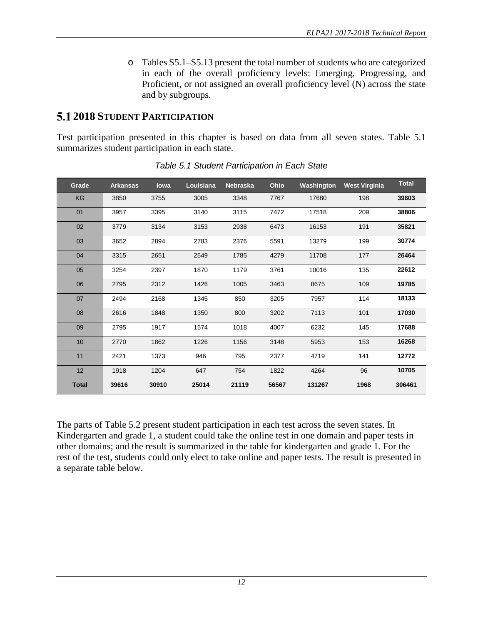o Tables S5.1–S5.13 present the total number of students who are categorized in each of the overall proficiency levels: Emerging, Progressing, and Proficient, or not assigned an overall proficiency level (N) across the state and by subgroups.

# <span id="page-16-0"></span>**2018 STUDENT PARTICIPATION**

Test participation presented in this chapter is based on data from all seven states. Table 5.1 summarizes student participation in each state.

<span id="page-16-1"></span>

| Grade        | <b>Arkansas</b> | lowa  | Louisiana | <b>Nebraska</b> | Ohio  | Washington | <b>West Virginia</b> | <b>Total</b> |
|--------------|-----------------|-------|-----------|-----------------|-------|------------|----------------------|--------------|
| KG           | 3850            | 3755  | 3005      | 3348            | 7767  | 17680      | 198                  | 39603        |
| 01           | 3957            | 3395  | 3140      | 3115            | 7472  | 17518      | 209                  | 38806        |
| 02           | 3779            | 3134  | 3153      | 2938            | 6473  | 16153      | 191                  | 35821        |
| 03           | 3652            | 2894  | 2783      | 2376            | 5591  | 13279      | 199                  | 30774        |
| 04           | 3315            | 2651  | 2549      | 1785            | 4279  | 11708      | 177                  | 26464        |
| 05           | 3254            | 2397  | 1870      | 1179            | 3761  | 10016      | 135                  | 22612        |
| 06           | 2795            | 2312  | 1426      | 1005            | 3463  | 8675       | 109                  | 19785        |
| 07           | 2494            | 2168  | 1345      | 850             | 3205  | 7957       | 114                  | 18133        |
| 08           | 2616            | 1848  | 1350      | 800             | 3202  | 7113       | 101                  | 17030        |
| 09           | 2795            | 1917  | 1574      | 1018            | 4007  | 6232       | 145                  | 17688        |
| 10           | 2770            | 1862  | 1226      | 1156            | 3148  | 5953       | 153                  | 16268        |
| 11           | 2421            | 1373  | 946       | 795             | 2377  | 4719       | 141                  | 12772        |
| 12           | 1918            | 1204  | 647       | 754             | 1822  | 4264       | 96                   | 10705        |
| <b>Total</b> | 39616           | 30910 | 25014     | 21119           | 56567 | 131267     | 1968                 | 306461       |

*Table 5.1 Student Participation in Each State*

The parts of Table 5.2 present student participation in each test across the seven states. In Kindergarten and grade 1, a student could take the online test in one domain and paper tests in other domains; and the result is summarized in the table for kindergarten and grade 1. For the rest of the test, students could only elect to take online and paper tests. The result is presented in a separate table below.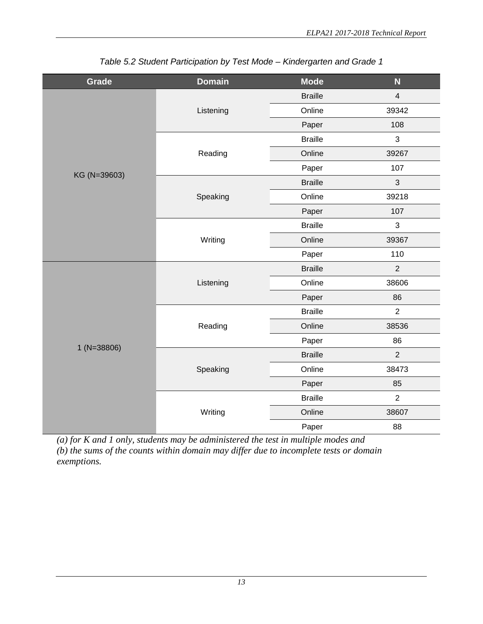<span id="page-17-0"></span>

| Grade         | <b>Domain</b> | <b>Mode</b>    | N                                                                                                                                                                                 |  |  |
|---------------|---------------|----------------|-----------------------------------------------------------------------------------------------------------------------------------------------------------------------------------|--|--|
|               |               | <b>Braille</b> | $\overline{\mathbf{4}}$                                                                                                                                                           |  |  |
|               | Listening     | Online         | 39342                                                                                                                                                                             |  |  |
|               |               | Paper          | 108                                                                                                                                                                               |  |  |
|               |               | <b>Braille</b> | 3                                                                                                                                                                                 |  |  |
|               | Reading       | Online         | 39267                                                                                                                                                                             |  |  |
| KG (N=39603)  |               | Paper          | 107<br>3<br>39218<br>107<br>3<br>39367<br>110<br>$\overline{2}$<br>38606<br>86<br>$\overline{2}$<br>38536<br>86<br>$\overline{2}$<br>38473<br>85<br>$\overline{2}$<br>38607<br>88 |  |  |
|               |               | <b>Braille</b> |                                                                                                                                                                                   |  |  |
|               | Speaking      | Online         |                                                                                                                                                                                   |  |  |
|               |               | Paper          |                                                                                                                                                                                   |  |  |
|               |               | <b>Braille</b> |                                                                                                                                                                                   |  |  |
|               | Writing       | Online         |                                                                                                                                                                                   |  |  |
|               |               | Paper          |                                                                                                                                                                                   |  |  |
|               |               | <b>Braille</b> |                                                                                                                                                                                   |  |  |
|               | Listening     | Online         |                                                                                                                                                                                   |  |  |
|               |               | Paper          |                                                                                                                                                                                   |  |  |
|               |               | <b>Braille</b> |                                                                                                                                                                                   |  |  |
|               | Reading       | Online         |                                                                                                                                                                                   |  |  |
| $1 (N=38806)$ |               | Paper          |                                                                                                                                                                                   |  |  |
|               |               | <b>Braille</b> |                                                                                                                                                                                   |  |  |
|               | Speaking      | Online         |                                                                                                                                                                                   |  |  |
|               |               | Paper          |                                                                                                                                                                                   |  |  |
|               |               | <b>Braille</b> |                                                                                                                                                                                   |  |  |
|               | Writing       | Online         |                                                                                                                                                                                   |  |  |
|               |               | Paper          |                                                                                                                                                                                   |  |  |

*Table 5.2 Student Participation by Test Mode – Kindergarten and Grade 1*

*(a) for K and 1 only, students may be administered the test in multiple modes and (b) the sums of the counts within domain may differ due to incomplete tests or domain exemptions.*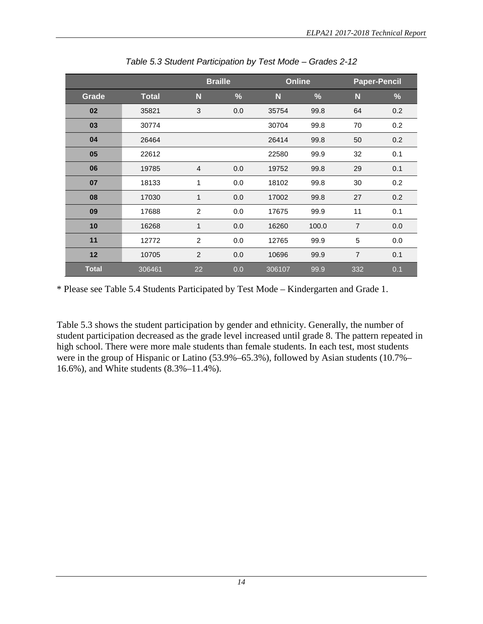<span id="page-18-0"></span>

|              |              |                | <b>Braille</b> | <b>Online</b> |       | <b>Paper-Pencil</b> |      |
|--------------|--------------|----------------|----------------|---------------|-------|---------------------|------|
| Grade        | <b>Total</b> | N              | %              | N             | $\%$  | N                   | $\%$ |
| 02           | 35821        | 3              | 0.0            | 35754         | 99.8  | 64                  | 0.2  |
| 03           | 30774        |                |                | 30704         | 99.8  | 70                  | 0.2  |
| 04           | 26464        |                |                | 26414         | 99.8  | 50                  | 0.2  |
| 05           | 22612        |                |                | 22580         | 99.9  | 32                  | 0.1  |
| 06           | 19785        | $\overline{4}$ | 0.0            | 19752         | 99.8  | 29                  | 0.1  |
| 07           | 18133        | 1              | 0.0            | 18102         | 99.8  | 30                  | 0.2  |
| 08           | 17030        | 1              | 0.0            | 17002         | 99.8  | 27                  | 0.2  |
| 09           | 17688        | $\overline{c}$ | 0.0            | 17675         | 99.9  | 11                  | 0.1  |
| 10           | 16268        | 1              | 0.0            | 16260         | 100.0 | $\overline{7}$      | 0.0  |
| 11           | 12772        | 2              | 0.0            | 12765         | 99.9  | 5                   | 0.0  |
| 12           | 10705        | 2              | 0.0            | 10696         | 99.9  | $\overline{7}$      | 0.1  |
| <b>Total</b> | 306461       | 22             | 0.0            | 306107        | 99.9  | 332                 | 0.1  |

*Table 5.3 Student Participation by Test Mode – Grades 2-12*

\* Please see Table 5.4 Students Participated by Test Mode – Kindergarten and Grade 1.

Table 5.3 shows the student participation by gender and ethnicity. Generally, the number of student participation decreased as the grade level increased until grade 8. The pattern repeated in high school. There were more male students than female students. In each test, most students were in the group of Hispanic or Latino (53.9%–65.3%), followed by Asian students (10.7%– 16.6%), and White students (8.3%–11.4%).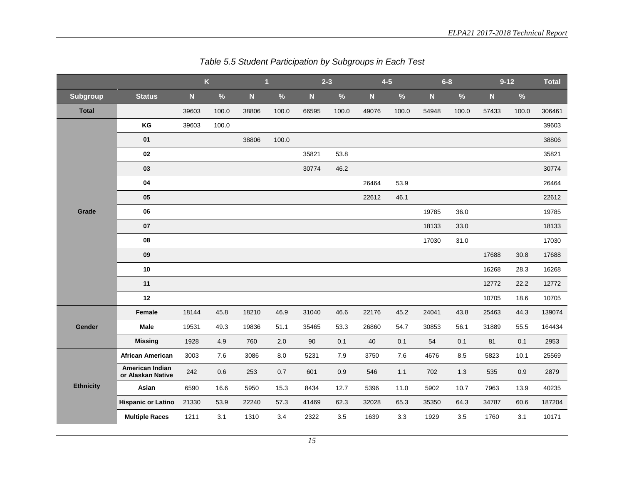<span id="page-19-0"></span>

|                  | $\overline{\mathsf{K}}$              |             |         | $\overline{\mathbf{1}}$ |       | $2 - 3$ |       | $4-5$     |       |           | $6 - 8$ | $9 - 12$  |       | <b>Total</b> |
|------------------|--------------------------------------|-------------|---------|-------------------------|-------|---------|-------|-----------|-------|-----------|---------|-----------|-------|--------------|
| <b>Subgroup</b>  | <b>Status</b>                        | $\mathbf N$ | $\%$    | $\overline{\mathsf{N}}$ | $\%$  | N       | $\%$  | ${\bf N}$ | $\%$  | ${\bf N}$ | $\%$    | ${\bf N}$ | $\%$  |              |
| <b>Total</b>     |                                      | 39603       | 100.0   | 38806                   | 100.0 | 66595   | 100.0 | 49076     | 100.0 | 54948     | 100.0   | 57433     | 100.0 | 306461       |
|                  | KG                                   | 39603       | 100.0   |                         |       |         |       |           |       |           |         |           |       | 39603        |
|                  | 01                                   |             |         | 38806                   | 100.0 |         |       |           |       |           |         |           |       | 38806        |
|                  | 02                                   |             |         |                         |       | 35821   | 53.8  |           |       |           |         |           |       | 35821        |
|                  | 03                                   |             |         |                         |       | 30774   | 46.2  |           |       |           |         |           |       | 30774        |
|                  | 04                                   |             |         |                         |       |         |       | 26464     | 53.9  |           |         |           |       | 26464        |
|                  | 05                                   |             |         |                         |       |         |       | 22612     | 46.1  |           |         |           |       | 22612        |
| Grade            | 06                                   |             |         |                         |       |         |       |           |       | 19785     | 36.0    |           |       | 19785        |
|                  | 07                                   |             |         |                         |       |         |       |           |       | 18133     | 33.0    |           |       | 18133        |
|                  | 08                                   |             |         |                         |       |         |       |           |       | 17030     | 31.0    |           |       | 17030        |
|                  | 09                                   |             |         |                         |       |         |       |           |       |           |         | 17688     | 30.8  | 17688        |
|                  | 10                                   |             |         |                         |       |         |       |           |       |           |         | 16268     | 28.3  | 16268        |
|                  | 11                                   |             |         |                         |       |         |       |           |       |           |         | 12772     | 22.2  | 12772        |
|                  | 12                                   |             |         |                         |       |         |       |           |       |           |         | 10705     | 18.6  | 10705        |
|                  | Female                               | 18144       | 45.8    | 18210                   | 46.9  | 31040   | 46.6  | 22176     | 45.2  | 24041     | 43.8    | 25463     | 44.3  | 139074       |
| Gender           | <b>Male</b>                          | 19531       | 49.3    | 19836                   | 51.1  | 35465   | 53.3  | 26860     | 54.7  | 30853     | 56.1    | 31889     | 55.5  | 164434       |
|                  | <b>Missing</b>                       | 1928        | 4.9     | 760                     | 2.0   | 90      | 0.1   | 40        | 0.1   | 54        | 0.1     | 81        | 0.1   | 2953         |
|                  | <b>African American</b>              | 3003        | 7.6     | 3086                    | 8.0   | 5231    | 7.9   | 3750      | 7.6   | 4676      | 8.5     | 5823      | 10.1  | 25569        |
|                  | American Indian<br>or Alaskan Native | 242         | $0.6\,$ | 253                     | 0.7   | 601     | 0.9   | 546       | 1.1   | 702       | 1.3     | 535       | 0.9   | 2879         |
| <b>Ethnicity</b> | Asian                                | 6590        | 16.6    | 5950                    | 15.3  | 8434    | 12.7  | 5396      | 11.0  | 5902      | 10.7    | 7963      | 13.9  | 40235        |
|                  | <b>Hispanic or Latino</b>            | 21330       | 53.9    | 22240                   | 57.3  | 41469   | 62.3  | 32028     | 65.3  | 35350     | 64.3    | 34787     | 60.6  | 187204       |
|                  | <b>Multiple Races</b>                | 1211        | 3.1     | 1310                    | 3.4   | 2322    | 3.5   | 1639      | 3.3   | 1929      | 3.5     | 1760      | 3.1   | 10171        |

*Table 5.5 Student Participation by Subgroups in Each Test*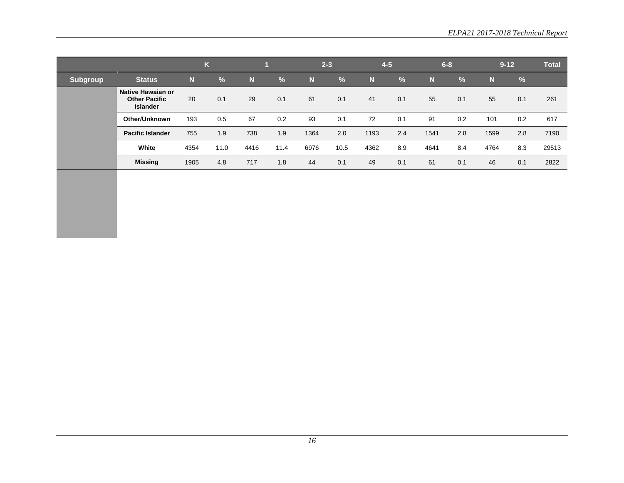|                 |                                                              | $\overline{L}$<br>K |      |      |               | $2 - 3$ |               | $4 - 5$ |               |             | $6 - 8$ | $9 - 12$ |     | <b>Total</b> |
|-----------------|--------------------------------------------------------------|---------------------|------|------|---------------|---------|---------------|---------|---------------|-------------|---------|----------|-----|--------------|
| <b>Subgroup</b> | <b>Status</b>                                                | N                   | $\%$ | N    | $\frac{9}{6}$ | N       | $\frac{9}{6}$ | N       | $\frac{9}{6}$ | $\mathbf N$ | %       | N        | %   |              |
|                 | Native Hawaian or<br><b>Other Pacific</b><br><b>Islander</b> | 20                  | 0.1  | 29   | 0.1           | 61      | 0.1           | 41      | 0.1           | 55          | 0.1     | 55       | 0.1 | 261          |
|                 | Other/Unknown                                                | 193                 | 0.5  | 67   | 0.2           | 93      | 0.1           | 72      | 0.1           | 91          | 0.2     | 101      | 0.2 | 617          |
|                 | <b>Pacific Islander</b>                                      | 755                 | 1.9  | 738  | 1.9           | 1364    | 2.0           | 1193    | 2.4           | 1541        | 2.8     | 1599     | 2.8 | 7190         |
|                 | White                                                        | 4354                | 11.0 | 4416 | 11.4          | 6976    | 10.5          | 4362    | 8.9           | 4641        | 8.4     | 4764     | 8.3 | 29513        |
|                 | <b>Missing</b>                                               | 1905                | 4.8  | 717  | 1.8           | 44      | 0.1           | 49      | 0.1           | 61          | 0.1     | 46       | 0.1 | 2822         |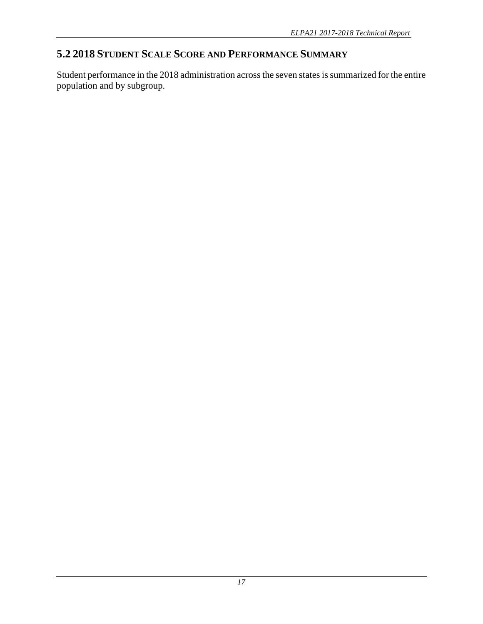# <span id="page-21-0"></span>**5.2 2018 STUDENT SCALE SCORE AND PERFORMANCE SUMMARY**

Student performance in the 2018 administration across the seven states is summarized for the entire population and by subgroup.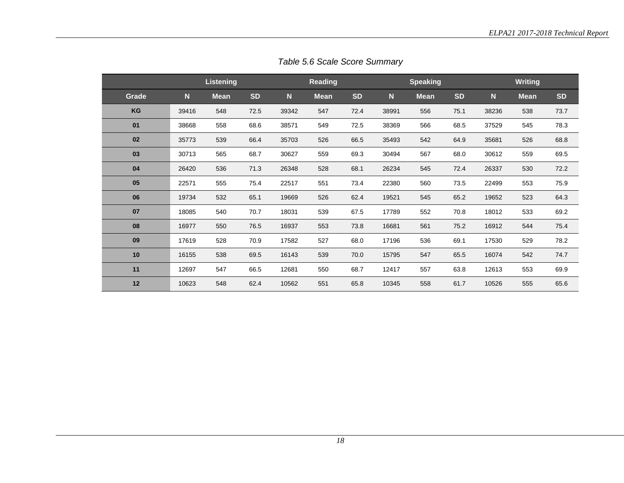<span id="page-22-0"></span>

|       |             | <b>Listening</b> |           |             | Reading     |           |       | <b>Speaking</b> |           |             | <b>Writing</b> |           |
|-------|-------------|------------------|-----------|-------------|-------------|-----------|-------|-----------------|-----------|-------------|----------------|-----------|
| Grade | $\mathbf N$ | <b>Mean</b>      | <b>SD</b> | $\mathbf N$ | <b>Mean</b> | <b>SD</b> | N     | <b>Mean</b>     | <b>SD</b> | $\mathbf N$ | <b>Mean</b>    | <b>SD</b> |
| KG    | 39416       | 548              | 72.5      | 39342       | 547         | 72.4      | 38991 | 556             | 75.1      | 38236       | 538            | 73.7      |
| 01    | 38668       | 558              | 68.6      | 38571       | 549         | 72.5      | 38369 | 566             | 68.5      | 37529       | 545            | 78.3      |
| 02    | 35773       | 539              | 66.4      | 35703       | 526         | 66.5      | 35493 | 542             | 64.9      | 35681       | 526            | 68.8      |
| 03    | 30713       | 565              | 68.7      | 30627       | 559         | 69.3      | 30494 | 567             | 68.0      | 30612       | 559            | 69.5      |
| 04    | 26420       | 536              | 71.3      | 26348       | 528         | 68.1      | 26234 | 545             | 72.4      | 26337       | 530            | 72.2      |
| 05    | 22571       | 555              | 75.4      | 22517       | 551         | 73.4      | 22380 | 560             | 73.5      | 22499       | 553            | 75.9      |
| 06    | 19734       | 532              | 65.1      | 19669       | 526         | 62.4      | 19521 | 545             | 65.2      | 19652       | 523            | 64.3      |
| 07    | 18085       | 540              | 70.7      | 18031       | 539         | 67.5      | 17789 | 552             | 70.8      | 18012       | 533            | 69.2      |
| 08    | 16977       | 550              | 76.5      | 16937       | 553         | 73.8      | 16681 | 561             | 75.2      | 16912       | 544            | 75.4      |
| 09    | 17619       | 528              | 70.9      | 17582       | 527         | 68.0      | 17196 | 536             | 69.1      | 17530       | 529            | 78.2      |
| 10    | 16155       | 538              | 69.5      | 16143       | 539         | 70.0      | 15795 | 547             | 65.5      | 16074       | 542            | 74.7      |
| 11    | 12697       | 547              | 66.5      | 12681       | 550         | 68.7      | 12417 | 557             | 63.8      | 12613       | 553            | 69.9      |
| 12    | 10623       | 548              | 62.4      | 10562       | 551         | 65.8      | 10345 | 558             | 61.7      | 10526       | 555            | 65.6      |

*Table 5.6 Scale Score Summary*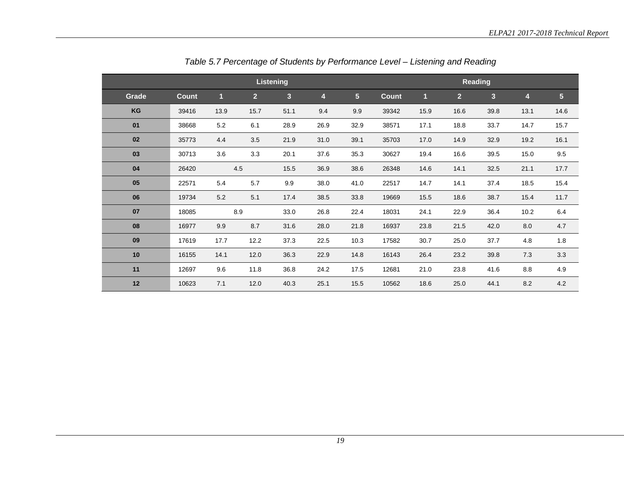<span id="page-23-0"></span>

|       |              |      |                | Listening      |      |                |              |      |                | <b>Reading</b>          |      |                |
|-------|--------------|------|----------------|----------------|------|----------------|--------------|------|----------------|-------------------------|------|----------------|
| Grade | <b>Count</b> | n    | 2 <sup>1</sup> | $\overline{3}$ | 4    | 5 <sup>5</sup> | <b>Count</b> | 1    | 2 <sup>1</sup> | $\overline{\mathbf{3}}$ | 4    | $5\phantom{.}$ |
| KG    | 39416        | 13.9 | 15.7           | 51.1           | 9.4  | 9.9            | 39342        | 15.9 | 16.6           | 39.8                    | 13.1 | 14.6           |
| 01    | 38668        | 5.2  | 6.1            | 28.9           | 26.9 | 32.9           | 38571        | 17.1 | 18.8           | 33.7                    | 14.7 | 15.7           |
| 02    | 35773        | 4.4  | 3.5            | 21.9           | 31.0 | 39.1           | 35703        | 17.0 | 14.9           | 32.9                    | 19.2 | 16.1           |
| 03    | 30713        | 3.6  | 3.3            | 20.1           | 37.6 | 35.3           | 30627        | 19.4 | 16.6           | 39.5                    | 15.0 | 9.5            |
| 04    | 26420        | 4.5  |                | 15.5           | 36.9 | 38.6           | 26348        | 14.6 | 14.1           | 32.5                    | 21.1 | 17.7           |
| 05    | 22571        | 5.4  | 5.7            | 9.9            | 38.0 | 41.0           | 22517        | 14.7 | 14.1           | 37.4                    | 18.5 | 15.4           |
| 06    | 19734        | 5.2  | 5.1            | 17.4           | 38.5 | 33.8           | 19669        | 15.5 | 18.6           | 38.7                    | 15.4 | 11.7           |
| 07    | 18085        | 8.9  |                | 33.0           | 26.8 | 22.4           | 18031        | 24.1 | 22.9           | 36.4                    | 10.2 | 6.4            |
| 08    | 16977        | 9.9  | 8.7            | 31.6           | 28.0 | 21.8           | 16937        | 23.8 | 21.5           | 42.0                    | 8.0  | 4.7            |
| 09    | 17619        | 17.7 | 12.2           | 37.3           | 22.5 | 10.3           | 17582        | 30.7 | 25.0           | 37.7                    | 4.8  | 1.8            |
| 10    | 16155        | 14.1 | 12.0           | 36.3           | 22.9 | 14.8           | 16143        | 26.4 | 23.2           | 39.8                    | 7.3  | 3.3            |
| 11    | 12697        | 9.6  | 11.8           | 36.8           | 24.2 | 17.5           | 12681        | 21.0 | 23.8           | 41.6                    | 8.8  | 4.9            |
| 12    | 10623        | 7.1  | 12.0           | 40.3           | 25.1 | 15.5           | 10562        | 18.6 | 25.0           | 44.1                    | 8.2  | 4.2            |

*Table 5.7 Percentage of Students by Performance Level – Listening and Reading*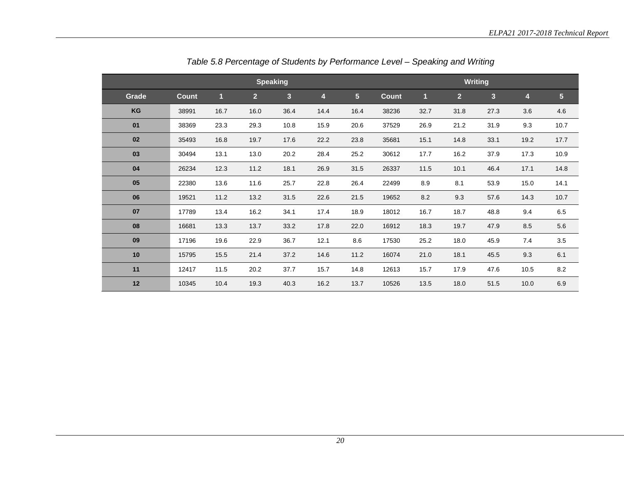<span id="page-24-0"></span>

|       |              |                |                | <b>Speaking</b> |                |                |              |      |                | <b>Writing</b> |                         |                 |
|-------|--------------|----------------|----------------|-----------------|----------------|----------------|--------------|------|----------------|----------------|-------------------------|-----------------|
| Grade | <b>Count</b> | $\blacksquare$ | $\overline{2}$ | $\overline{3}$  | $\overline{4}$ | 5 <sup>1</sup> | <b>Count</b> | 1    | $\overline{2}$ | 3              | $\overline{\mathbf{4}}$ | $5\phantom{.0}$ |
| KG    | 38991        | 16.7           | 16.0           | 36.4            | 14.4           | 16.4           | 38236        | 32.7 | 31.8           | 27.3           | 3.6                     | 4.6             |
| 01    | 38369        | 23.3           | 29.3           | 10.8            | 15.9           | 20.6           | 37529        | 26.9 | 21.2           | 31.9           | 9.3                     | 10.7            |
| 02    | 35493        | 16.8           | 19.7           | 17.6            | 22.2           | 23.8           | 35681        | 15.1 | 14.8           | 33.1           | 19.2                    | 17.7            |
| 03    | 30494        | 13.1           | 13.0           | 20.2            | 28.4           | 25.2           | 30612        | 17.7 | 16.2           | 37.9           | 17.3                    | 10.9            |
| 04    | 26234        | 12.3           | 11.2           | 18.1            | 26.9           | 31.5           | 26337        | 11.5 | 10.1           | 46.4           | 17.1                    | 14.8            |
| 05    | 22380        | 13.6           | 11.6           | 25.7            | 22.8           | 26.4           | 22499        | 8.9  | 8.1            | 53.9           | 15.0                    | 14.1            |
| 06    | 19521        | 11.2           | 13.2           | 31.5            | 22.6           | 21.5           | 19652        | 8.2  | 9.3            | 57.6           | 14.3                    | 10.7            |
| 07    | 17789        | 13.4           | 16.2           | 34.1            | 17.4           | 18.9           | 18012        | 16.7 | 18.7           | 48.8           | 9.4                     | 6.5             |
| 08    | 16681        | 13.3           | 13.7           | 33.2            | 17.8           | 22.0           | 16912        | 18.3 | 19.7           | 47.9           | 8.5                     | 5.6             |
| 09    | 17196        | 19.6           | 22.9           | 36.7            | 12.1           | 8.6            | 17530        | 25.2 | 18.0           | 45.9           | 7.4                     | 3.5             |
| 10    | 15795        | 15.5           | 21.4           | 37.2            | 14.6           | 11.2           | 16074        | 21.0 | 18.1           | 45.5           | 9.3                     | 6.1             |
| 11    | 12417        | 11.5           | 20.2           | 37.7            | 15.7           | 14.8           | 12613        | 15.7 | 17.9           | 47.6           | 10.5                    | 8.2             |
| 12    | 10345        | 10.4           | 19.3           | 40.3            | 16.2           | 13.7           | 10526        | 13.5 | 18.0           | 51.5           | 10.0                    | 6.9             |

*Table 5.8 Percentage of Students by Performance Level – Speaking and Writing*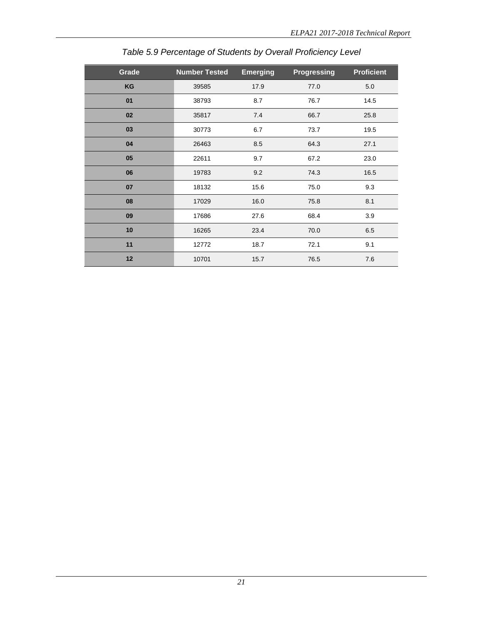<span id="page-25-0"></span>

| Grade | <b>Number Tested</b> | <b>Emerging</b> | <b>Progressing</b> | <b>Proficient</b> |
|-------|----------------------|-----------------|--------------------|-------------------|
| KG    | 39585                | 17.9            | 77.0               | 5.0               |
| 01    | 38793                | 8.7             | 76.7               | 14.5              |
| 02    | 35817                | 7.4             | 66.7               | 25.8              |
| 03    | 30773                | 6.7             | 73.7               | 19.5              |
| 04    | 26463                | 8.5             | 64.3               | 27.1              |
| 05    | 22611                | 9.7             | 67.2               | 23.0              |
| 06    | 19783                | 9.2             | 74.3               | 16.5              |
| 07    | 18132                | 15.6            | 75.0               | 9.3               |
| 08    | 17029                | 16.0            | 75.8               | 8.1               |
| 09    | 17686                | 27.6            | 68.4               | 3.9               |
| 10    | 16265                | 23.4            | 70.0               | 6.5               |
| 11    | 12772                | 18.7            | 72.1               | 9.1               |
| 12    | 10701                | 15.7            | 76.5               | 7.6               |

*Table 5.9 Percentage of Students by Overall Proficiency Level*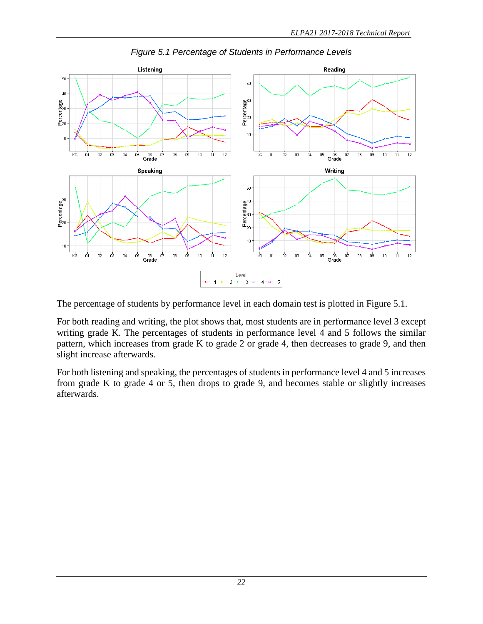<span id="page-26-0"></span>

*Figure 5.1 Percentage of Students in Performance Levels*

The percentage of students by performance level in each domain test is plotted in Figure 5.1.

For both reading and writing, the plot shows that, most students are in performance level 3 except writing grade K. The percentages of students in performance level 4 and 5 follows the similar pattern, which increases from grade K to grade 2 or grade 4, then decreases to grade 9, and then slight increase afterwards.

For both listening and speaking, the percentages of students in performance level 4 and 5 increases from grade K to grade 4 or 5, then drops to grade 9, and becomes stable or slightly increases afterwards.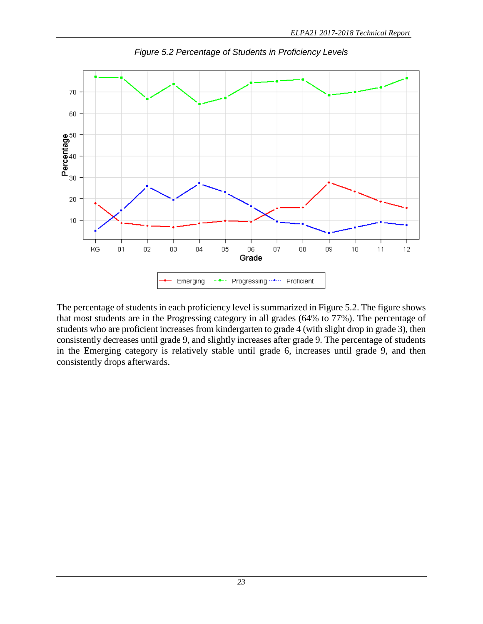<span id="page-27-0"></span>

*Figure 5.2 Percentage of Students in Proficiency Levels*

The percentage of students in each proficiency level is summarized in Figure 5.2. The figure shows that most students are in the Progressing category in all grades (64% to 77%). The percentage of students who are proficient increases from kindergarten to grade 4 (with slight drop in grade 3), then consistently decreases until grade 9, and slightly increases after grade 9. The percentage of students in the Emerging category is relatively stable until grade 6, increases until grade 9, and then consistently drops afterwards.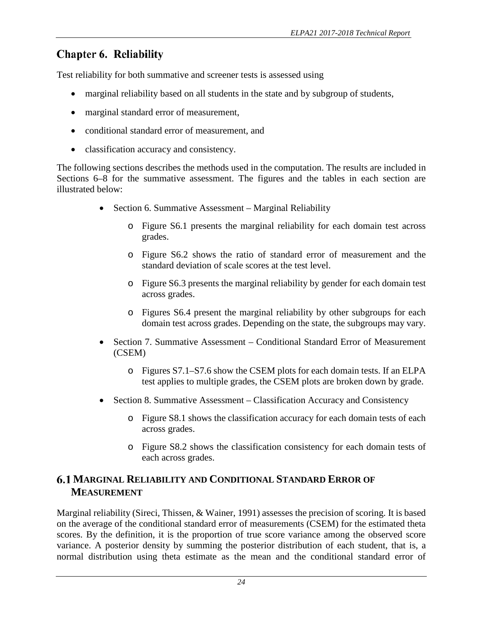# <span id="page-28-0"></span>**Chapter 6. Reliability**

Test reliability for both summative and screener tests is assessed using

- marginal reliability based on all students in the state and by subgroup of students,
- marginal standard error of measurement,
- conditional standard error of measurement, and
- classification accuracy and consistency.

The following sections describes the methods used in the computation. The results are included in Sections 6–8 for the summative assessment. The figures and the tables in each section are illustrated below:

- Section 6. Summative Assessment Marginal Reliability
	- o Figure S6.1 presents the marginal reliability for each domain test across grades.
	- o Figure S6.2 shows the ratio of standard error of measurement and the standard deviation of scale scores at the test level.
	- o Figure S6.3 presents the marginal reliability by gender for each domain test across grades.
	- o Figures S6.4 present the marginal reliability by other subgroups for each domain test across grades. Depending on the state, the subgroups may vary.
- Section 7. Summative Assessment Conditional Standard Error of Measurement (CSEM)
	- o Figures S7.1–S7.6 show the CSEM plots for each domain tests. If an ELPA test applies to multiple grades, the CSEM plots are broken down by grade.
- Section 8. Summative Assessment Classification Accuracy and Consistency
	- o Figure S8.1 shows the classification accuracy for each domain tests of each across grades.
	- o Figure S8.2 shows the classification consistency for each domain tests of each across grades.

## <span id="page-28-1"></span>**MARGINAL RELIABILITY AND CONDITIONAL STANDARD ERROR OF MEASUREMENT**

Marginal reliability (Sireci, Thissen, & Wainer, 1991) assesses the precision of scoring. It is based on the average of the conditional standard error of measurements (CSEM) for the estimated theta scores. By the definition, it is the proportion of true score variance among the observed score variance. A posterior density by summing the posterior distribution of each student, that is, a normal distribution using theta estimate as the mean and the conditional standard error of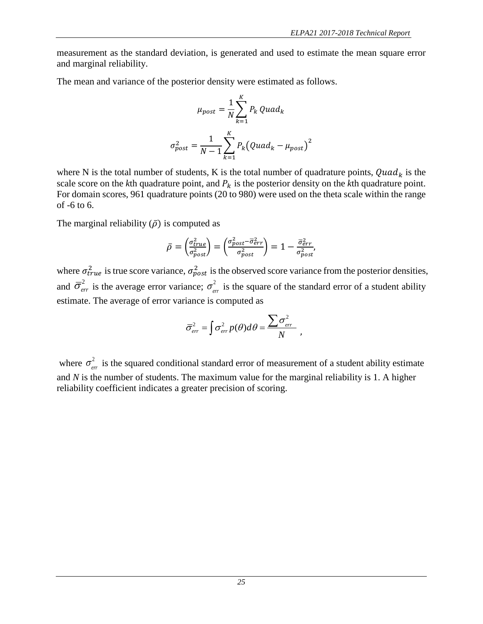measurement as the standard deviation, is generated and used to estimate the mean square error and marginal reliability.

The mean and variance of the posterior density were estimated as follows.

$$
\mu_{post} = \frac{1}{N} \sum_{k=1}^{K} P_k \quad Quad_k
$$
\n
$$
\sigma_{post}^2 = \frac{1}{N-1} \sum_{k=1}^{K} P_k \left( Quad_k - \mu_{post} \right)^2
$$

where N is the total number of students, K is the total number of quadrature points,  $Quad<sub>k</sub>$  is the scale score on the *k*th quadrature point, and  $P_k$  is the posterior density on the *k*th quadrature point. For domain scores, 961 quadrature points (20 to 980) were used on the theta scale within the range of -6 to 6.

The marginal reliability  $(\bar{\rho})$  is computed as

$$
\bar{\rho} = \left(\frac{\sigma_{true}^2}{\sigma_{post}^2}\right) = \left(\frac{\sigma_{post}^2 - \overline{\sigma}_{err}^2}{\sigma_{post}^2}\right) = 1 - \frac{\overline{\sigma}_{err}^2}{\sigma_{post}^2},
$$

where  $\sigma_{true}^2$  is true score variance,  $\sigma_{post}^2$  is the observed score variance from the posterior densities, and  $\bar{\sigma}_{err}^2$  is the average error variance;  $\sigma_{err}^2$  is the square of the standard error of a student ability estimate. The average of error variance is computed as

$$
\overline{\sigma}_{err}^2 = \int \sigma_{err}^2 p(\theta) d\theta = \frac{\sum \sigma_{err}^2}{N} ,
$$

where  $\sigma_{err}^2$  is the squared conditional standard error of measurement of a student ability estimate and *N* is the number of students. The maximum value for the marginal reliability is 1. A higher reliability coefficient indicates a greater precision of scoring.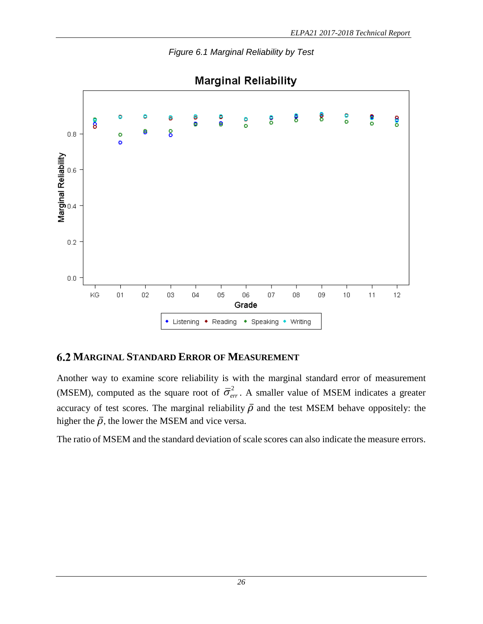<span id="page-30-1"></span>

*Figure 6.1 Marginal Reliability by Test*

## <span id="page-30-0"></span>**MARGINAL STANDARD ERROR OF MEASUREMENT**

Another way to examine score reliability is with the marginal standard error of measurement (MSEM), computed as the square root of  $\overline{\sigma}_{err}^2$ . A smaller value of MSEM indicates a greater accuracy of test scores. The marginal reliability  $\bar{\rho}$  and the test MSEM behave oppositely: the higher the  $\bar{\rho}$ , the lower the MSEM and vice versa.

The ratio of MSEM and the standard deviation of scale scores can also indicate the measure errors.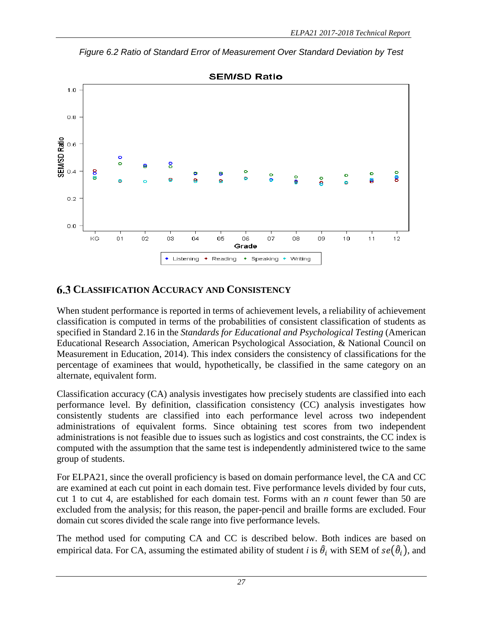**SEM/SD Ratio**  $1.0$  $0.8$ EM/SD Ratio  $0.6$  $\bullet$  $\bullet$ 8 8  $\bullet$ å å ö e  $0.2$  $0.0$ KG  $01$  $02$ oз 05 06 08 09  $10$  $12$  $\overline{a}$ 07  $11$ Grade • Listening  $\bullet$ Reading • Speaking Writing

<span id="page-31-1"></span>*Figure 6.2 Ratio of Standard Error of Measurement Over Standard Deviation by Test*

## <span id="page-31-0"></span>**CLASSIFICATION ACCURACY AND CONSISTENCY**

When student performance is reported in terms of achievement levels, a reliability of achievement classification is computed in terms of the probabilities of consistent classification of students as specified in Standard 2.16 in the *Standards for Educational and Psychological Testing* (American Educational Research Association, American Psychological Association, & National Council on Measurement in Education, 2014). This index considers the consistency of classifications for the percentage of examinees that would, hypothetically, be classified in the same category on an alternate, equivalent form.

Classification accuracy (CA) analysis investigates how precisely students are classified into each performance level. By definition, classification consistency (CC) analysis investigates how consistently students are classified into each performance level across two independent administrations of equivalent forms. Since obtaining test scores from two independent administrations is not feasible due to issues such as logistics and cost constraints, the CC index is computed with the assumption that the same test is independently administered twice to the same group of students.

For ELPA21, since the overall proficiency is based on domain performance level, the CA and CC are examined at each cut point in each domain test. Five performance levels divided by four cuts, cut 1 to cut 4, are established for each domain test. Forms with an *n* count fewer than 50 are excluded from the analysis; for this reason, the paper-pencil and braille forms are excluded. Four domain cut scores divided the scale range into five performance levels.

The method used for computing CA and CC is described below. Both indices are based on empirical data. For CA, assuming the estimated ability of student *i* is  $\hat{\theta}_i$  with SEM of  $se(\hat{\theta}_i)$ , and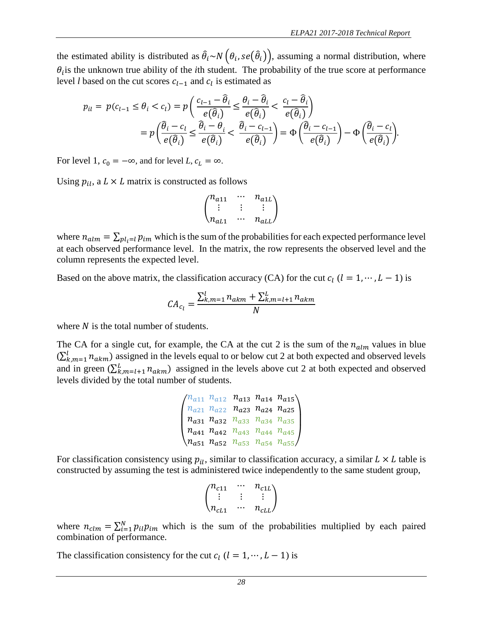the estimated ability is distributed as  $\hat{\theta}_i$  ~  $N(\theta_i, se(\hat{\theta}_i))$ , assuming a normal distribution, where  $\theta_i$  is the unknown true ability of the *i*th student. The probability of the true score at performance level *l* based on the cut scores  $c_{l-1}$  and  $c_l$  is estimated as

$$
p_{il} = p(c_{l-1} \leq \theta_i < c_l) = p\left(\frac{c_{l-1} - \hat{\theta}_i}{e(\hat{\theta}_i)} \leq \frac{\theta_i - \hat{\theta}_i}{e(\hat{\theta}_i)} < \frac{c_l - \hat{\theta}_i}{e(\hat{\theta}_i)}\right) = p\left(\frac{\hat{\theta}_i - c_l}{e(\hat{\theta}_i)} \leq \frac{\hat{\theta}_i - \theta_i}{e(\hat{\theta}_i)} < \frac{\hat{\theta}_i - c_{l-1}}{e(\hat{\theta}_i)}\right) = \Phi\left(\frac{\hat{\theta}_i - c_{l-1}}{e(\hat{\theta}_i)}\right) - \Phi\left(\frac{\hat{\theta}_i - c_l}{e(\hat{\theta}_i)}\right).
$$

For level 1,  $c_0 = -\infty$ , and for level *L*,  $c_L = \infty$ .

Using  $p_{il}$ , a  $L \times L$  matrix is constructed as follows

$$
\begin{pmatrix} n_{a11} & \cdots & n_{a1L} \\ \vdots & \vdots & \vdots \\ n_{aL1} & \cdots & n_{aLL} \end{pmatrix}
$$

where  $n_{alm} = \sum_{pl_i=l} p_{im}$  which is the sum of the probabilities for each expected performance level at each observed performance level. In the matrix, the row represents the observed level and the column represents the expected level.

Based on the above matrix, the classification accuracy (CA) for the cut  $c_l$  ( $l = 1, \dots, L - 1$ ) is

$$
CA_{c_l} = \frac{\sum_{k,m=1}^{l} n_{akm} + \sum_{k,m=l+1}^{L} n_{akm}}{N}
$$

where  $N$  is the total number of students.

The CA for a single cut, for example, the CA at the cut 2 is the sum of the  $n_{\text{alm}}$  values in blue  $(\sum_{k,m=1}^{l} n_{akm})$  assigned in the levels equal to or below cut 2 at both expected and observed levels and in green  $(\sum_{k,m=l+1}^{L} n_{akm})$  assigned in the levels above cut 2 at both expected and observed levels divided by the total number of students.

$$
\begin{pmatrix} n_{a11} & n_{a12} & n_{a13} & n_{a14} & n_{a15} \\ n_{a21} & n_{a22} & n_{a23} & n_{a24} & n_{a25} \\ n_{a31} & n_{a32} & n_{a33} & n_{a34} & n_{a35} \\ n_{a41} & n_{a42} & n_{a43} & n_{a44} & n_{a45} \\ n_{a51} & n_{a52} & n_{a53} & n_{a54} & n_{a55} \end{pmatrix}
$$

For classification consistency using  $p_{il}$ , similar to classification accuracy, a similar  $L \times L$  table is constructed by assuming the test is administered twice independently to the same student group,

$$
\begin{pmatrix} n_{c11} & \cdots & n_{c1L} \\ \vdots & \vdots & \vdots \\ n_{cL1} & \cdots & n_{cLL} \end{pmatrix}
$$

where  $n_{\text{clm}} = \sum_{i=1}^{N} p_{i l} p_{i m}$  which is the sum of the probabilities multiplied by each paired combination of performance.

The classification consistency for the cut  $c_l$  ( $l = 1, \dots, L - 1$ ) is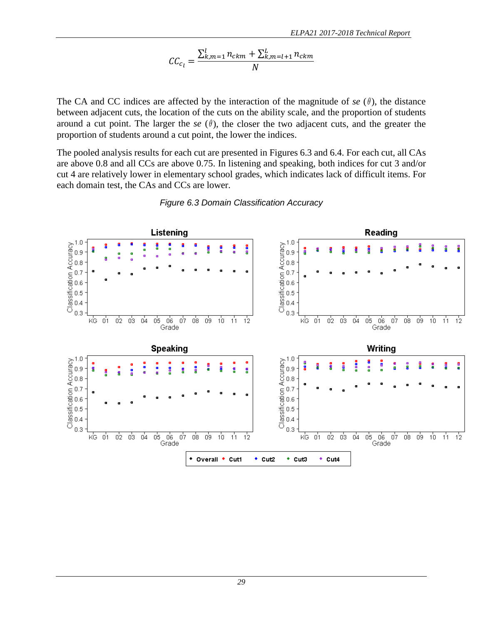$$
CC_{c_l} = \frac{\sum_{k,m=1}^{l} n_{ckm} + \sum_{k,m=l+1}^{L} n_{ckm}}{N}
$$

The CA and CC indices are affected by the interaction of the magnitude of  $se(\theta)$ , the distance between adjacent cuts, the location of the cuts on the ability scale, and the proportion of students around a cut point. The larger the  $se(\theta)$ , the closer the two adjacent cuts, and the greater the proportion of students around a cut point, the lower the indices.

The pooled analysis results for each cut are presented in Figures 6.3 and 6.4. For each cut, all CAs are above 0.8 and all CCs are above 0.75. In listening and speaking, both indices for cut 3 and/or cut 4 are relatively lower in elementary school grades, which indicates lack of difficult items. For each domain test, the CAs and CCs are lower.

<span id="page-33-0"></span>

#### *Figure 6.3 Domain Classification Accuracy*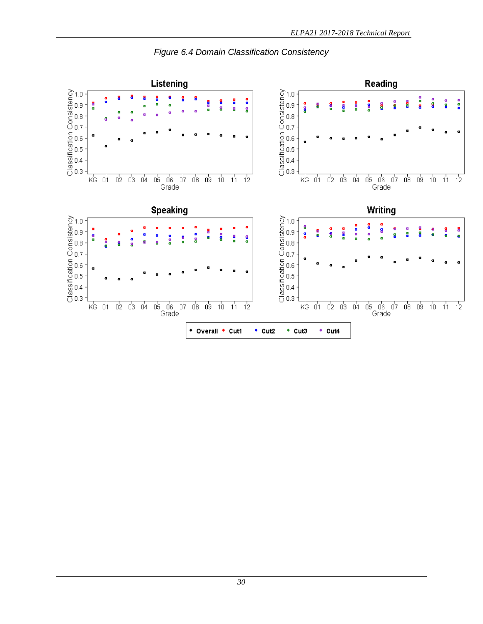<span id="page-34-0"></span>

#### *Figure 6.4 Domain Classification Consistency*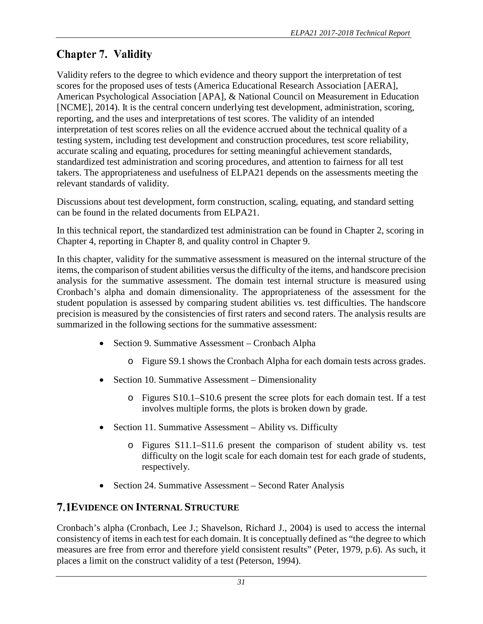# <span id="page-35-0"></span>**Chapter 7. Validity**

Validity refers to the degree to which evidence and theory support the interpretation of test scores for the proposed uses of tests (America Educational Research Association [AERA], American Psychological Association [APA], & National Council on Measurement in Education [NCME], 2014). It is the central concern underlying test development, administration, scoring, reporting, and the uses and interpretations of test scores. The validity of an intended interpretation of test scores relies on all the evidence accrued about the technical quality of a testing system, including test development and construction procedures, test score reliability, accurate scaling and equating, procedures for setting meaningful achievement standards, standardized test administration and scoring procedures, and attention to fairness for all test takers. The appropriateness and usefulness of ELPA21 depends on the assessments meeting the relevant standards of validity.

Discussions about test development, form construction, scaling, equating, and standard setting can be found in the related documents from ELPA21.

In this technical report, the standardized test administration can be found in Chapter 2, scoring in Chapter 4, reporting in Chapter 8, and quality control in Chapter 9.

In this chapter, validity for the summative assessment is measured on the internal structure of the items, the comparison of student abilities versus the difficulty of the items, and handscore precision analysis for the summative assessment. The domain test internal structure is measured using Cronbach's alpha and domain dimensionality. The appropriateness of the assessment for the student population is assessed by comparing student abilities vs. test difficulties. The handscore precision is measured by the consistencies of first raters and second raters. The analysis results are summarized in the following sections for the summative assessment:

- Section 9. Summative Assessment Cronbach Alpha
	- o Figure S9.1 shows the Cronbach Alpha for each domain tests across grades.
- Section 10. Summative Assessment Dimensionality
	- o Figures S10.1–S10.6 present the scree plots for each domain test. If a test involves multiple forms, the plots is broken down by grade.
- Section 11. Summative Assessment Ability vs. Difficulty
	- o Figures S11.1–S11.6 present the comparison of student ability vs. test difficulty on the logit scale for each domain test for each grade of students, respectively.
- Section 24. Summative Assessment Second Rater Analysis

### <span id="page-35-1"></span>**7.1 EVIDENCE ON INTERNAL STRUCTURE**

Cronbach's alpha (Cronbach, Lee J.; Shavelson, Richard J., 2004) is used to access the internal consistency of items in each test for each domain. It is conceptually defined as "the degree to which measures are free from error and therefore yield consistent results" (Peter, 1979, p.6). As such, it places a limit on the construct validity of a test (Peterson, 1994).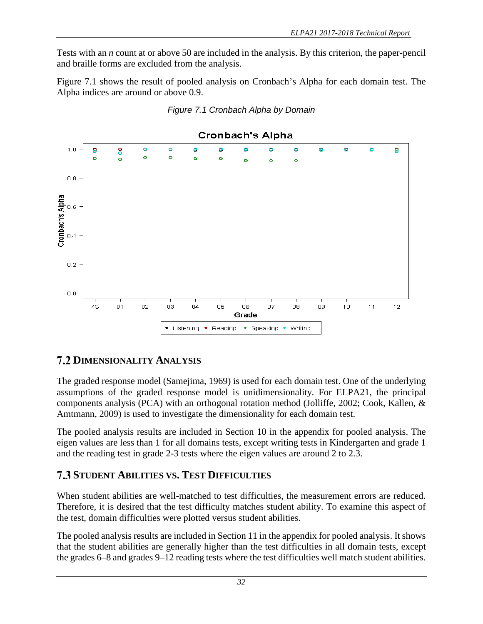Tests with an *n* count at or above 50 are included in the analysis. By this criterion, the paper-pencil and braille forms are excluded from the analysis.

Figure 7.1 shows the result of pooled analysis on Cronbach's Alpha for each domain test. The Alpha indices are around or above 0.9.

<span id="page-36-2"></span>



## <span id="page-36-0"></span>**7.2 DIMENSIONALITY ANALYSIS**

The graded response model (Samejima, 1969) is used for each domain test. One of the underlying assumptions of the graded response model is unidimensionality. For ELPA21, the principal components analysis (PCA) with an orthogonal rotation method (Jolliffe, 2002; Cook, Kallen, & Amtmann, 2009) is used to investigate the dimensionality for each domain test.

The pooled analysis results are included in Section 10 in the appendix for pooled analysis. The eigen values are less than 1 for all domains tests, except writing tests in Kindergarten and grade 1 and the reading test in grade 2-3 tests where the eigen values are around 2 to 2.3.

## <span id="page-36-1"></span>**STUDENT ABILITIES VS. TEST DIFFICULTIES**

When student abilities are well-matched to test difficulties, the measurement errors are reduced. Therefore, it is desired that the test difficulty matches student ability. To examine this aspect of the test, domain difficulties were plotted versus student abilities.

The pooled analysis results are included in Section 11 in the appendix for pooled analysis. It shows that the student abilities are generally higher than the test difficulties in all domain tests, except the grades 6–8 and grades 9–12 reading tests where the test difficulties well match student abilities.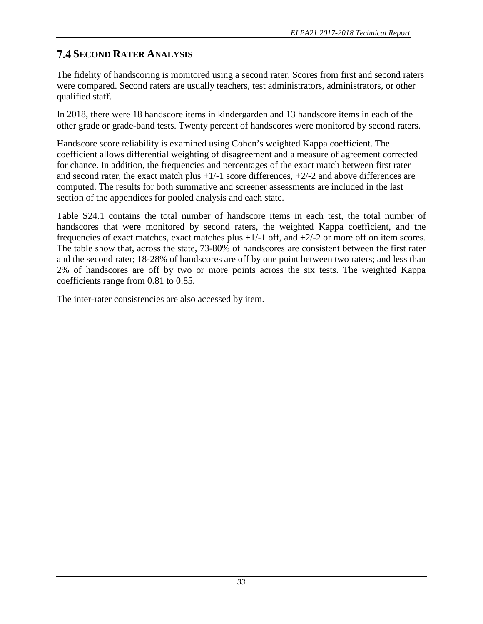## <span id="page-37-0"></span>**7.4 SECOND RATER ANALYSIS**

The fidelity of handscoring is monitored using a second rater. Scores from first and second raters were compared. Second raters are usually teachers, test administrators, administrators, or other qualified staff.

In 2018, there were 18 handscore items in kindergarden and 13 handscore items in each of the other grade or grade-band tests. Twenty percent of handscores were monitored by second raters.

Handscore score reliability is examined using Cohen's weighted Kappa coefficient. The coefficient allows differential weighting of disagreement and a measure of agreement corrected for chance. In addition, the frequencies and percentages of the exact match between first rater and second rater, the exact match plus  $+1/1$  score differences,  $+2/2$  and above differences are computed. The results for both summative and screener assessments are included in the last section of the appendices for pooled analysis and each state.

Table S24.1 contains the total number of handscore items in each test, the total number of handscores that were monitored by second raters, the weighted Kappa coefficient, and the frequencies of exact matches, exact matches plus +1/-1 off, and +2/-2 or more off on item scores. The table show that, across the state, 73-80% of handscores are consistent between the first rater and the second rater; 18-28% of handscores are off by one point between two raters; and less than 2% of handscores are off by two or more points across the six tests. The weighted Kappa coefficients range from 0.81 to 0.85.

The inter-rater consistencies are also accessed by item.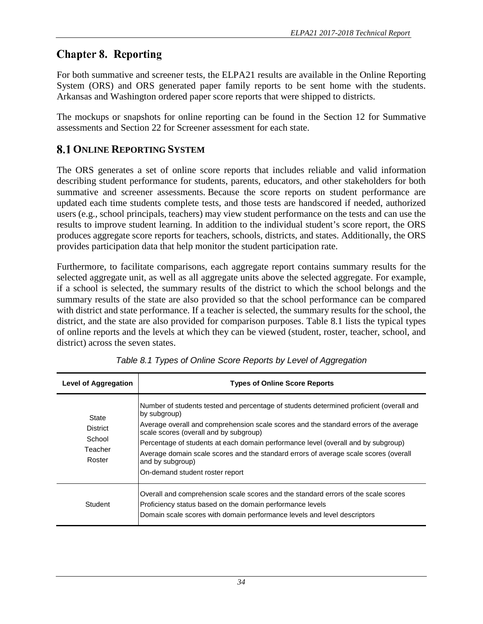# <span id="page-38-0"></span>**Chapter 8. Reporting**

For both summative and screener tests, the ELPA21 results are available in the Online Reporting System (ORS) and ORS generated paper family reports to be sent home with the students. Arkansas and Washington ordered paper score reports that were shipped to districts.

The mockups or snapshots for online reporting can be found in the Section 12 for Summative assessments and Section 22 for Screener assessment for each state.

## <span id="page-38-1"></span>**8.1 ONLINE REPORTING SYSTEM**

The ORS generates a set of online score reports that includes reliable and valid information describing student performance for students, parents, educators, and other stakeholders for both summative and screener assessments. Because the score reports on student performance are updated each time students complete tests, and those tests are handscored if needed, authorized users (e.g., school principals, teachers) may view student performance on the tests and can use the results to improve student learning. In addition to the individual student's score report, the ORS produces aggregate score reports for teachers, schools, districts, and states. Additionally, the ORS provides participation data that help monitor the student participation rate.

Furthermore, to facilitate comparisons, each aggregate report contains summary results for the selected aggregate unit, as well as all aggregate units above the selected aggregate. For example, if a school is selected, the summary results of the district to which the school belongs and the summary results of the state are also provided so that the school performance can be compared with district and state performance. If a teacher is selected, the summary results for the school, the district, and the state are also provided for comparison purposes. Table 8.1 lists the typical types of online reports and the levels at which they can be viewed (student, roster, teacher, school, and district) across the seven states.

<span id="page-38-2"></span>

| <b>Level of Aggregation</b>                             | <b>Types of Online Score Reports</b>                                                                                                                                                                                                                                                                                                                                                                                                                                           |
|---------------------------------------------------------|--------------------------------------------------------------------------------------------------------------------------------------------------------------------------------------------------------------------------------------------------------------------------------------------------------------------------------------------------------------------------------------------------------------------------------------------------------------------------------|
| State<br><b>District</b><br>School<br>Teacher<br>Roster | Number of students tested and percentage of students determined proficient (overall and<br>by subgroup)<br>Average overall and comprehension scale scores and the standard errors of the average<br>scale scores (overall and by subgroup)<br>Percentage of students at each domain performance level (overall and by subgroup)<br>Average domain scale scores and the standard errors of average scale scores (overall<br>and by subgroup)<br>On-demand student roster report |
| Student                                                 | Overall and comprehension scale scores and the standard errors of the scale scores<br>Proficiency status based on the domain performance levels<br>Domain scale scores with domain performance levels and level descriptors                                                                                                                                                                                                                                                    |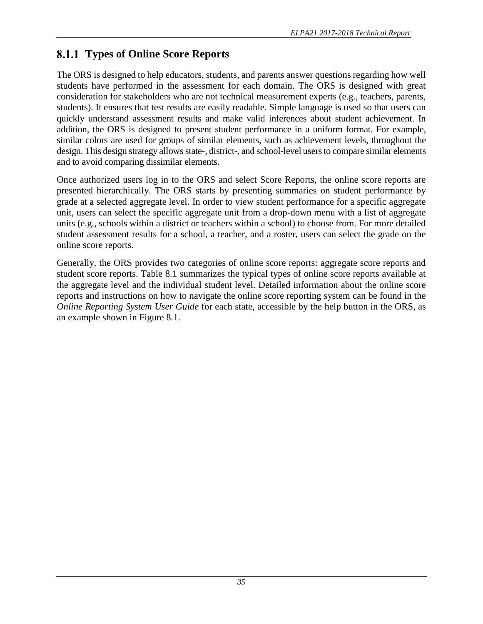# <span id="page-39-0"></span>**Types of Online Score Reports**

The ORS is designed to help educators, students, and parents answer questions regarding how well students have performed in the assessment for each domain. The ORS is designed with great consideration for stakeholders who are not technical measurement experts (e.g., teachers, parents, students). It ensures that test results are easily readable. Simple language is used so that users can quickly understand assessment results and make valid inferences about student achievement. In addition, the ORS is designed to present student performance in a uniform format. For example, similar colors are used for groups of similar elements, such as achievement levels, throughout the design. This design strategy allows state-, district-, and school-level usersto compare similar elements and to avoid comparing dissimilar elements.

Once authorized users log in to the ORS and select Score Reports, the online score reports are presented hierarchically. The ORS starts by presenting summaries on student performance by grade at a selected aggregate level. In order to view student performance for a specific aggregate unit, users can select the specific aggregate unit from a drop-down menu with a list of aggregate units (e.g., schools within a district or teachers within a school) to choose from. For more detailed student assessment results for a school, a teacher, and a roster, users can select the grade on the online score reports.

Generally, the ORS provides two categories of online score reports: aggregate score reports and student score reports. Table 8.1 summarizes the typical types of online score reports available at the aggregate level and the individual student level. Detailed information about the online score reports and instructions on how to navigate the online score reporting system can be found in the *Online Reporting System User Guide* for each state, accessible by the help button in the ORS, as an example shown in Figure 8.1.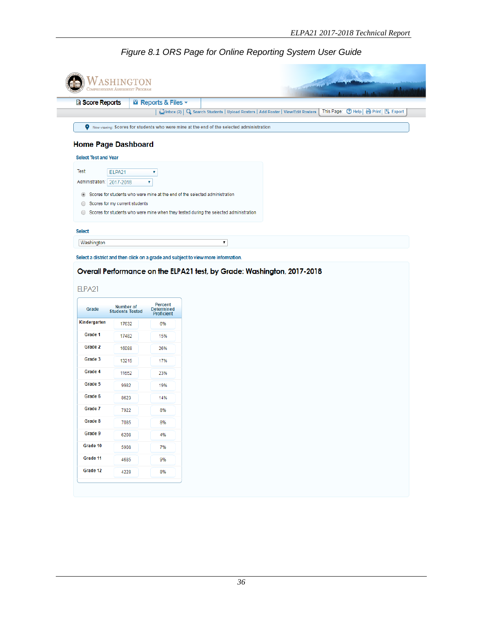<span id="page-40-0"></span>

| <b>D</b> Score Reports      |                                | <b>El Reports &amp; Files v</b>        |                                                                                          |  |                                        |  |  |
|-----------------------------|--------------------------------|----------------------------------------|------------------------------------------------------------------------------------------|--|----------------------------------------|--|--|
|                             |                                |                                        | Cinbox (2)   Q. Search Students   Upload Rosters   Add Roster   View/Edit Rosters        |  | This Page: 2 Help   A Print   B Export |  |  |
| 9                           |                                |                                        | Now viewing: Scores for students who were mine at the end of the selected administration |  |                                        |  |  |
| <b>Home Page Dashboard</b>  |                                |                                        |                                                                                          |  |                                        |  |  |
| <b>Select Test and Year</b> |                                |                                        |                                                                                          |  |                                        |  |  |
| <b>Test:</b>                | ELPA21                         | ۷                                      |                                                                                          |  |                                        |  |  |
| Administration: 2017-2018   |                                | ۷                                      |                                                                                          |  |                                        |  |  |
| $\circledcirc$              |                                |                                        | Scores for students who were mine at the end of the selected administration              |  |                                        |  |  |
| $\bigcirc$                  | Scores for my current students |                                        |                                                                                          |  |                                        |  |  |
| $\bigcirc$                  |                                |                                        | Scores for students who were mine when they tested during the selected administration    |  |                                        |  |  |
|                             |                                |                                        |                                                                                          |  |                                        |  |  |
| <b>Select</b>               |                                |                                        |                                                                                          |  |                                        |  |  |
| Washington                  |                                |                                        | ۷                                                                                        |  |                                        |  |  |
|                             |                                |                                        |                                                                                          |  |                                        |  |  |
|                             |                                |                                        | Select a district and then click on a grade and subject to view more information.        |  |                                        |  |  |
|                             |                                |                                        | Overall Performance on the ELPA21 test, by Grade: Washington, 2017-2018                  |  |                                        |  |  |
| ELPA21                      |                                |                                        |                                                                                          |  |                                        |  |  |
|                             | Number of                      | Percent                                |                                                                                          |  |                                        |  |  |
| Grade                       | <b>Students Tested</b>         | <b>Determined</b><br><b>Proficient</b> |                                                                                          |  |                                        |  |  |
| Kindergarten                | 17632                          | 6%                                     |                                                                                          |  |                                        |  |  |
| Grade 1                     | 17482                          | 15%                                    |                                                                                          |  |                                        |  |  |
| Grade 2                     | 16088                          | 26%                                    |                                                                                          |  |                                        |  |  |
| Grade 3                     | 13215                          | 17%                                    |                                                                                          |  |                                        |  |  |

Grade 5

Grade 6

Grade 7

Grade 8

Grade 9

Grade 10

Grade 11

Grade 12

9982

8623

7922

7085

6208

5908

4685

4228

19%

14%

 $8\%$ 

8%

4%

 $7%$ 

9%

8%

#### *Figure 8.1 ORS Page for Online Reporting System User Guide*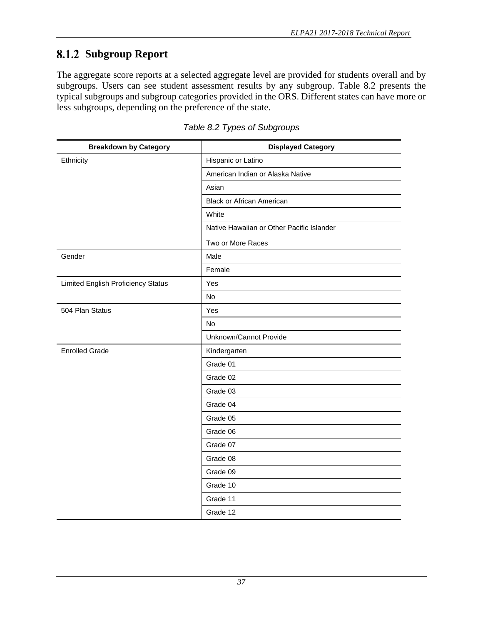# <span id="page-41-0"></span>**Subgroup Report**

The aggregate score reports at a selected aggregate level are provided for students overall and by subgroups. Users can see student assessment results by any subgroup. Table 8.2 presents the typical subgroups and subgroup categories provided in the ORS. Different states can have more or less subgroups, depending on the preference of the state.

<span id="page-41-1"></span>

| <b>Breakdown by Category</b>       | <b>Displayed Category</b>                 |  |  |  |  |
|------------------------------------|-------------------------------------------|--|--|--|--|
| Ethnicity                          | Hispanic or Latino                        |  |  |  |  |
|                                    | American Indian or Alaska Native          |  |  |  |  |
|                                    | Asian                                     |  |  |  |  |
|                                    | <b>Black or African American</b>          |  |  |  |  |
|                                    | White                                     |  |  |  |  |
|                                    | Native Hawaiian or Other Pacific Islander |  |  |  |  |
|                                    | Two or More Races                         |  |  |  |  |
| Gender                             | Male                                      |  |  |  |  |
|                                    | Female                                    |  |  |  |  |
| Limited English Proficiency Status | Yes                                       |  |  |  |  |
|                                    | No                                        |  |  |  |  |
| 504 Plan Status                    | Yes                                       |  |  |  |  |
|                                    | No                                        |  |  |  |  |
|                                    | Unknown/Cannot Provide                    |  |  |  |  |
| <b>Enrolled Grade</b>              | Kindergarten                              |  |  |  |  |
|                                    | Grade 01                                  |  |  |  |  |
|                                    | Grade 02                                  |  |  |  |  |
|                                    | Grade 03                                  |  |  |  |  |
|                                    | Grade 04                                  |  |  |  |  |
|                                    | Grade 05                                  |  |  |  |  |
|                                    | Grade 06                                  |  |  |  |  |
|                                    | Grade 07                                  |  |  |  |  |
|                                    | Grade 08                                  |  |  |  |  |
|                                    | Grade 09                                  |  |  |  |  |
|                                    | Grade 10                                  |  |  |  |  |
|                                    | Grade 11                                  |  |  |  |  |
|                                    | Grade 12                                  |  |  |  |  |

*Table 8.2 Types of Subgroups*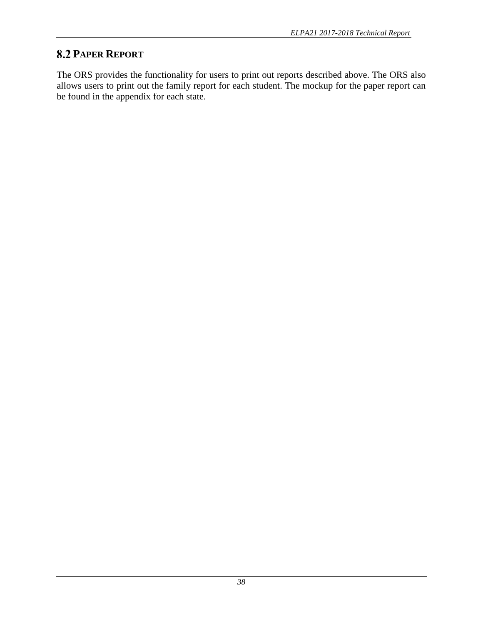## <span id="page-42-0"></span>**8.2 PAPER REPORT**

The ORS provides the functionality for users to print out reports described above. The ORS also allows users to print out the family report for each student. The mockup for the paper report can be found in the appendix for each state.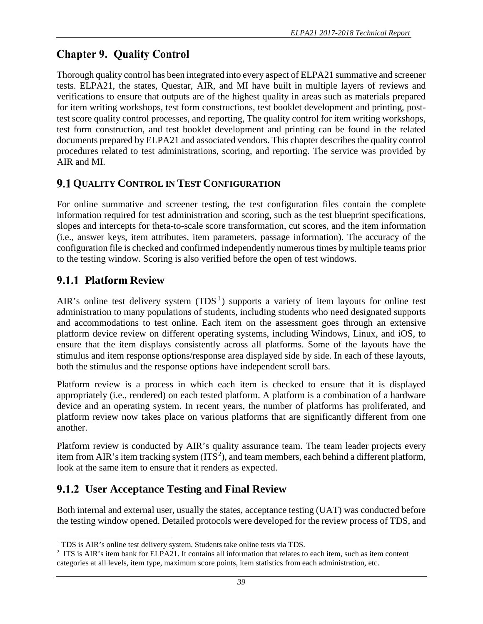# <span id="page-43-0"></span>**Chapter 9. Quality Control**

Thorough quality control has been integrated into every aspect of ELPA21 summative and screener tests. ELPA21, the states, Questar, AIR, and MI have built in multiple layers of reviews and verifications to ensure that outputs are of the highest quality in areas such as materials prepared for item writing workshops, test form constructions, test booklet development and printing, posttest score quality control processes, and reporting, The quality control for item writing workshops, test form construction, and test booklet development and printing can be found in the related documents prepared by ELPA21 and associated vendors. This chapter describes the quality control procedures related to test administrations, scoring, and reporting. The service was provided by AIR and MI.

## <span id="page-43-1"></span>**9.1 QUALITY CONTROL IN TEST CONFIGURATION**

For online summative and screener testing, the test configuration files contain the complete information required for test administration and scoring, such as the test blueprint specifications, slopes and intercepts for theta-to-scale score transformation, cut scores, and the item information (i.e., answer keys, item attributes, item parameters, passage information). The accuracy of the configuration file is checked and confirmed independently numerous times by multiple teams prior to the testing window. Scoring is also verified before the open of test windows.

## <span id="page-43-2"></span>**Platform Review**

AIR's online test delivery system  $(TDS<sup>1</sup>)$  $(TDS<sup>1</sup>)$  $(TDS<sup>1</sup>)$  supports a variety of item layouts for online test administration to many populations of students, including students who need designated supports and accommodations to test online. Each item on the assessment goes through an extensive platform device review on different operating systems, including Windows, Linux, and iOS, to ensure that the item displays consistently across all platforms. Some of the layouts have the stimulus and item response options/response area displayed side by side. In each of these layouts, both the stimulus and the response options have independent scroll bars.

Platform review is a process in which each item is checked to ensure that it is displayed appropriately (i.e., rendered) on each tested platform. A platform is a combination of a hardware device and an operating system. In recent years, the number of platforms has proliferated, and platform review now takes place on various platforms that are significantly different from one another.

Platform review is conducted by AIR's quality assurance team. The team leader projects every item from AIR's item tracking system  $(ITS^2)$  $(ITS^2)$  $(ITS^2)$ , and team members, each behind a different platform, look at the same item to ensure that it renders as expected.

# <span id="page-43-3"></span>**User Acceptance Testing and Final Review**

Both internal and external user, usually the states, acceptance testing (UAT) was conducted before the testing window opened. Detailed protocols were developed for the review process of TDS, and

<span id="page-43-4"></span>l <sup>1</sup> TDS is AIR's online test delivery system. Students take online tests via TDS.

<span id="page-43-5"></span><sup>&</sup>lt;sup>2</sup> ITS is AIR's item bank for ELPA21. It contains all information that relates to each item, such as item content categories at all levels, item type, maximum score points, item statistics from each administration, etc.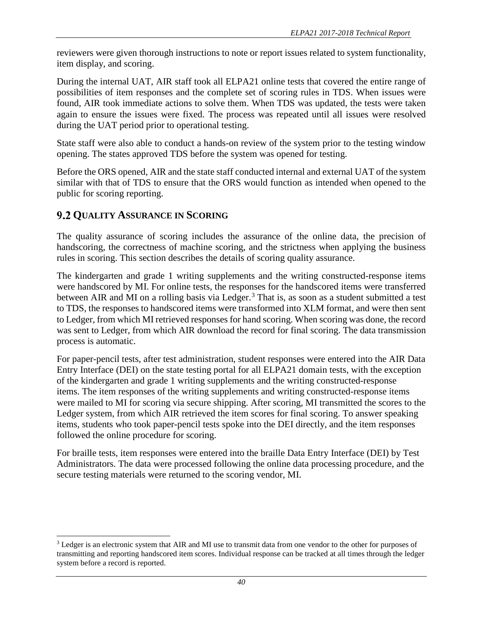reviewers were given thorough instructions to note or report issues related to system functionality, item display, and scoring.

During the internal UAT, AIR staff took all ELPA21 online tests that covered the entire range of possibilities of item responses and the complete set of scoring rules in TDS. When issues were found, AIR took immediate actions to solve them. When TDS was updated, the tests were taken again to ensure the issues were fixed. The process was repeated until all issues were resolved during the UAT period prior to operational testing.

State staff were also able to conduct a hands-on review of the system prior to the testing window opening. The states approved TDS before the system was opened for testing.

Before the ORS opened, AIR and the state staff conducted internal and external UAT of the system similar with that of TDS to ensure that the ORS would function as intended when opened to the public for scoring reporting.

## <span id="page-44-0"></span>**9.2 QUALITY ASSURANCE IN SCORING**

l

The quality assurance of scoring includes the assurance of the online data, the precision of handscoring, the correctness of machine scoring, and the strictness when applying the business rules in scoring. This section describes the details of scoring quality assurance.

The kindergarten and grade 1 writing supplements and the writing constructed-response items were handscored by MI. For online tests, the responses for the handscored items were transferred between AIR and MI on a rolling basis via Ledger.<sup>[3](#page-44-1)</sup> That is, as soon as a student submitted a test to TDS, the responses to handscored items were transformed into XLM format, and were then sent to Ledger, from which MI retrieved responses for hand scoring. When scoring was done, the record was sent to Ledger, from which AIR download the record for final scoring. The data transmission process is automatic.

For paper-pencil tests, after test administration, student responses were entered into the AIR Data Entry Interface (DEI) on the state testing portal for all ELPA21 domain tests, with the exception of the kindergarten and grade 1 writing supplements and the writing constructed-response items. The item responses of the writing supplements and writing constructed-response items were mailed to MI for scoring via secure shipping. After scoring, MI transmitted the scores to the Ledger system, from which AIR retrieved the item scores for final scoring. To answer speaking items, students who took paper-pencil tests spoke into the DEI directly, and the item responses followed the online procedure for scoring.

For braille tests, item responses were entered into the braille Data Entry Interface (DEI) by Test Administrators. The data were processed following the online data processing procedure, and the secure testing materials were returned to the scoring vendor, MI.

<span id="page-44-1"></span><sup>&</sup>lt;sup>3</sup> Ledger is an electronic system that AIR and MI use to transmit data from one vendor to the other for purposes of transmitting and reporting handscored item scores. Individual response can be tracked at all times through the ledger system before a record is reported.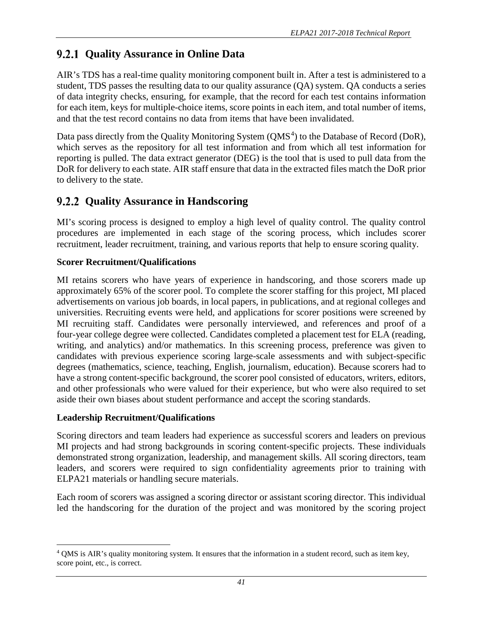# <span id="page-45-0"></span>**9.2.1 Quality Assurance in Online Data**

AIR's TDS has a real-time quality monitoring component built in. After a test is administered to a student, TDS passes the resulting data to our quality assurance (QA) system. QA conducts a series of data integrity checks, ensuring, for example, that the record for each test contains information for each item, keys for multiple-choice items, score points in each item, and total number of items, and that the test record contains no data from items that have been invalidated.

Data pass directly from the Quality Monitoring System (QMS<sup>[4](#page-45-2)</sup>) to the Database of Record (DoR), which serves as the repository for all test information and from which all test information for reporting is pulled. The data extract generator (DEG) is the tool that is used to pull data from the DoR for delivery to each state. AIR staff ensure that data in the extracted files match the DoR prior to delivery to the state.

## <span id="page-45-1"></span>**Quality Assurance in Handscoring**

MI's scoring process is designed to employ a high level of quality control. The quality control procedures are implemented in each stage of the scoring process, which includes scorer recruitment, leader recruitment, training, and various reports that help to ensure scoring quality.

## **Scorer Recruitment/Qualifications**

MI retains scorers who have years of experience in handscoring, and those scorers made up approximately 65% of the scorer pool. To complete the scorer staffing for this project, MI placed advertisements on various job boards, in local papers, in publications, and at regional colleges and universities. Recruiting events were held, and applications for scorer positions were screened by MI recruiting staff. Candidates were personally interviewed, and references and proof of a four-year college degree were collected. Candidates completed a placement test for ELA (reading, writing, and analytics) and/or mathematics. In this screening process, preference was given to candidates with previous experience scoring large-scale assessments and with subject-specific degrees (mathematics, science, teaching, English, journalism, education). Because scorers had to have a strong content-specific background, the scorer pool consisted of educators, writers, editors, and other professionals who were valued for their experience, but who were also required to set aside their own biases about student performance and accept the scoring standards.

### **Leadership Recruitment/Qualifications**

Scoring directors and team leaders had experience as successful scorers and leaders on previous MI projects and had strong backgrounds in scoring content-specific projects. These individuals demonstrated strong organization, leadership, and management skills. All scoring directors, team leaders, and scorers were required to sign confidentiality agreements prior to training with ELPA21 materials or handling secure materials.

Each room of scorers was assigned a scoring director or assistant scoring director. This individual led the handscoring for the duration of the project and was monitored by the scoring project

<span id="page-45-2"></span>l <sup>4</sup> QMS is AIR's quality monitoring system. It ensures that the information in a student record, such as item key, score point, etc., is correct.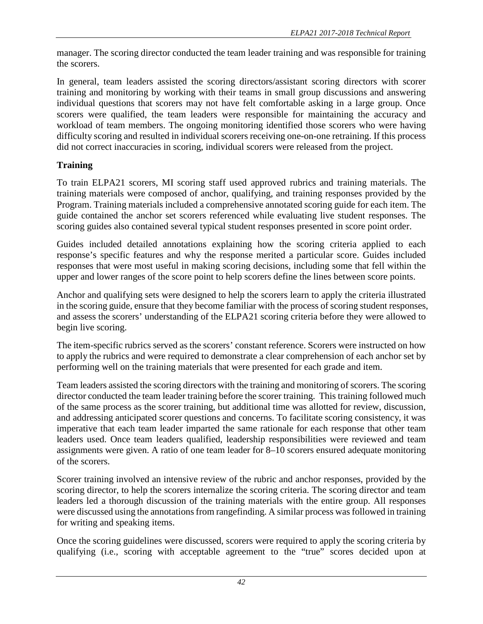manager. The scoring director conducted the team leader training and was responsible for training the scorers.

In general, team leaders assisted the scoring directors/assistant scoring directors with scorer training and monitoring by working with their teams in small group discussions and answering individual questions that scorers may not have felt comfortable asking in a large group. Once scorers were qualified, the team leaders were responsible for maintaining the accuracy and workload of team members. The ongoing monitoring identified those scorers who were having difficulty scoring and resulted in individual scorers receiving one-on-one retraining. If this process did not correct inaccuracies in scoring, individual scorers were released from the project.

#### **Training**

To train ELPA21 scorers, MI scoring staff used approved rubrics and training materials. The training materials were composed of anchor, qualifying, and training responses provided by the Program. Training materials included a comprehensive annotated scoring guide for each item. The guide contained the anchor set scorers referenced while evaluating live student responses. The scoring guides also contained several typical student responses presented in score point order.

Guides included detailed annotations explaining how the scoring criteria applied to each response's specific features and why the response merited a particular score. Guides included responses that were most useful in making scoring decisions, including some that fell within the upper and lower ranges of the score point to help scorers define the lines between score points.

Anchor and qualifying sets were designed to help the scorers learn to apply the criteria illustrated in the scoring guide, ensure that they become familiar with the process of scoring student responses, and assess the scorers' understanding of the ELPA21 scoring criteria before they were allowed to begin live scoring.

The item-specific rubrics served as the scorers' constant reference. Scorers were instructed on how to apply the rubrics and were required to demonstrate a clear comprehension of each anchor set by performing well on the training materials that were presented for each grade and item.

Team leaders assisted the scoring directors with the training and monitoring of scorers. The scoring director conducted the team leader training before the scorer training. This training followed much of the same process as the scorer training, but additional time was allotted for review, discussion, and addressing anticipated scorer questions and concerns. To facilitate scoring consistency, it was imperative that each team leader imparted the same rationale for each response that other team leaders used. Once team leaders qualified, leadership responsibilities were reviewed and team assignments were given. A ratio of one team leader for 8–10 scorers ensured adequate monitoring of the scorers.

Scorer training involved an intensive review of the rubric and anchor responses, provided by the scoring director, to help the scorers internalize the scoring criteria. The scoring director and team leaders led a thorough discussion of the training materials with the entire group. All responses were discussed using the annotations from rangefinding. A similar process wasfollowed in training for writing and speaking items.

Once the scoring guidelines were discussed, scorers were required to apply the scoring criteria by qualifying (i.e., scoring with acceptable agreement to the "true" scores decided upon at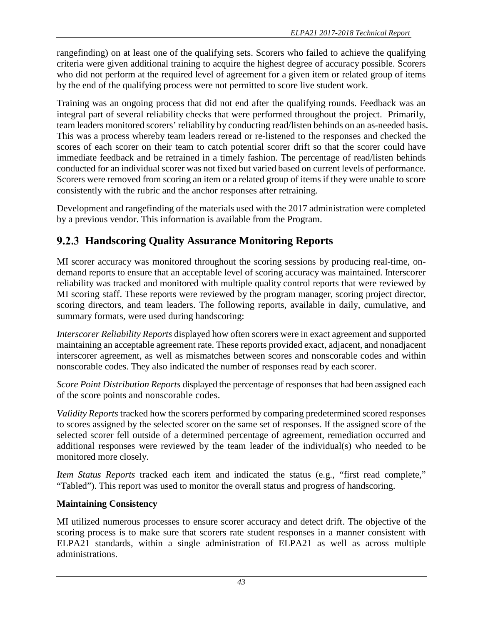rangefinding) on at least one of the qualifying sets. Scorers who failed to achieve the qualifying criteria were given additional training to acquire the highest degree of accuracy possible. Scorers who did not perform at the required level of agreement for a given item or related group of items by the end of the qualifying process were not permitted to score live student work.

Training was an ongoing process that did not end after the qualifying rounds. Feedback was an integral part of several reliability checks that were performed throughout the project. Primarily, team leaders monitored scorers' reliability by conducting read/listen behinds on an as-needed basis. This was a process whereby team leaders reread or re-listened to the responses and checked the scores of each scorer on their team to catch potential scorer drift so that the scorer could have immediate feedback and be retrained in a timely fashion. The percentage of read/listen behinds conducted for an individual scorer was not fixed but varied based on current levels of performance. Scorers were removed from scoring an item or a related group of items if they were unable to score consistently with the rubric and the anchor responses after retraining.

Development and rangefinding of the materials used with the 2017 administration were completed by a previous vendor. This information is available from the Program.

# <span id="page-47-0"></span>**Handscoring Quality Assurance Monitoring Reports**

MI scorer accuracy was monitored throughout the scoring sessions by producing real-time, ondemand reports to ensure that an acceptable level of scoring accuracy was maintained. Interscorer reliability was tracked and monitored with multiple quality control reports that were reviewed by MI scoring staff. These reports were reviewed by the program manager, scoring project director, scoring directors, and team leaders. The following reports, available in daily, cumulative, and summary formats, were used during handscoring:

*Interscorer Reliability Reports* displayed how often scorers were in exact agreement and supported maintaining an acceptable agreement rate. These reports provided exact, adjacent, and nonadjacent interscorer agreement, as well as mismatches between scores and nonscorable codes and within nonscorable codes. They also indicated the number of responses read by each scorer.

*Score Point Distribution Reports* displayed the percentage of responses that had been assigned each of the score points and nonscorable codes.

*Validity Reports* tracked how the scorers performed by comparing predetermined scored responses to scores assigned by the selected scorer on the same set of responses. If the assigned score of the selected scorer fell outside of a determined percentage of agreement, remediation occurred and additional responses were reviewed by the team leader of the individual(s) who needed to be monitored more closely.

*Item Status Reports* tracked each item and indicated the status (e.g., "first read complete," "Tabled"). This report was used to monitor the overall status and progress of handscoring.

## **Maintaining Consistency**

MI utilized numerous processes to ensure scorer accuracy and detect drift. The objective of the scoring process is to make sure that scorers rate student responses in a manner consistent with ELPA21 standards, within a single administration of ELPA21 as well as across multiple administrations.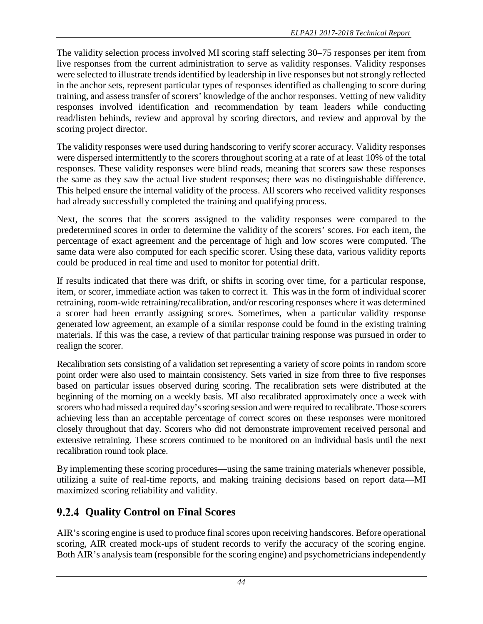The validity selection process involved MI scoring staff selecting 30–75 responses per item from live responses from the current administration to serve as validity responses. Validity responses were selected to illustrate trends identified by leadership in live responses but not strongly reflected in the anchor sets, represent particular types of responses identified as challenging to score during training, and assess transfer of scorers' knowledge of the anchor responses. Vetting of new validity responses involved identification and recommendation by team leaders while conducting read/listen behinds, review and approval by scoring directors, and review and approval by the scoring project director.

The validity responses were used during handscoring to verify scorer accuracy. Validity responses were dispersed intermittently to the scorers throughout scoring at a rate of at least 10% of the total responses. These validity responses were blind reads, meaning that scorers saw these responses the same as they saw the actual live student responses; there was no distinguishable difference. This helped ensure the internal validity of the process. All scorers who received validity responses had already successfully completed the training and qualifying process.

Next, the scores that the scorers assigned to the validity responses were compared to the predetermined scores in order to determine the validity of the scorers' scores. For each item, the percentage of exact agreement and the percentage of high and low scores were computed. The same data were also computed for each specific scorer. Using these data, various validity reports could be produced in real time and used to monitor for potential drift.

If results indicated that there was drift, or shifts in scoring over time, for a particular response, item, or scorer, immediate action was taken to correct it. This was in the form of individual scorer retraining, room-wide retraining/recalibration, and/or rescoring responses where it was determined a scorer had been errantly assigning scores. Sometimes, when a particular validity response generated low agreement, an example of a similar response could be found in the existing training materials. If this was the case, a review of that particular training response was pursued in order to realign the scorer.

Recalibration sets consisting of a validation set representing a variety of score points in random score point order were also used to maintain consistency. Sets varied in size from three to five responses based on particular issues observed during scoring. The recalibration sets were distributed at the beginning of the morning on a weekly basis. MI also recalibrated approximately once a week with scorers who had missed a required day's scoring session and were required to recalibrate. Those scorers achieving less than an acceptable percentage of correct scores on these responses were monitored closely throughout that day. Scorers who did not demonstrate improvement received personal and extensive retraining. These scorers continued to be monitored on an individual basis until the next recalibration round took place.

By implementing these scoring procedures—using the same training materials whenever possible, utilizing a suite of real-time reports, and making training decisions based on report data—MI maximized scoring reliability and validity.

# <span id="page-48-0"></span>**Quality Control on Final Scores**

AIR's scoring engine is used to produce final scores upon receiving handscores. Before operational scoring, AIR created mock-ups of student records to verify the accuracy of the scoring engine. Both AIR's analysis team (responsible for the scoring engine) and psychometricians independently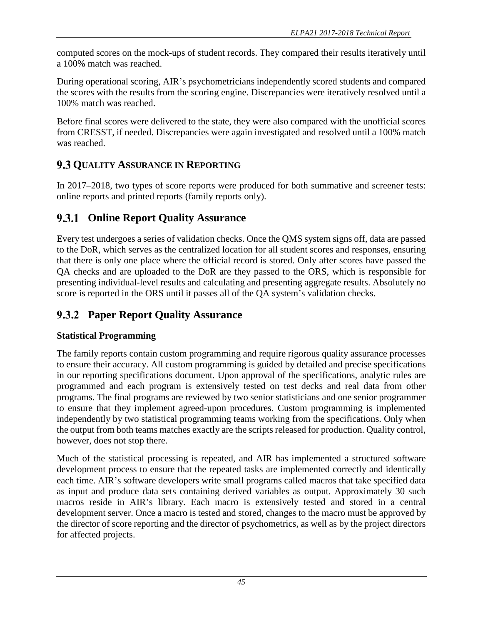computed scores on the mock-ups of student records. They compared their results iteratively until a 100% match was reached.

During operational scoring, AIR's psychometricians independently scored students and compared the scores with the results from the scoring engine. Discrepancies were iteratively resolved until a 100% match was reached.

Before final scores were delivered to the state, they were also compared with the unofficial scores from CRESST, if needed. Discrepancies were again investigated and resolved until a 100% match was reached.

## <span id="page-49-0"></span>**9.3 OUALITY ASSURANCE IN REPORTING**

In 2017–2018, two types of score reports were produced for both summative and screener tests: online reports and printed reports (family reports only).

# <span id="page-49-1"></span>**Online Report Quality Assurance**

Every test undergoes a series of validation checks. Once the QMS system signs off, data are passed to the DoR, which serves as the centralized location for all student scores and responses, ensuring that there is only one place where the official record is stored. Only after scores have passed the QA checks and are uploaded to the DoR are they passed to the ORS, which is responsible for presenting individual-level results and calculating and presenting aggregate results. Absolutely no score is reported in the ORS until it passes all of the QA system's validation checks.

# <span id="page-49-2"></span>**Paper Report Quality Assurance**

### **Statistical Programming**

The family reports contain custom programming and require rigorous quality assurance processes to ensure their accuracy. All custom programming is guided by detailed and precise specifications in our reporting specifications document. Upon approval of the specifications, analytic rules are programmed and each program is extensively tested on test decks and real data from other programs. The final programs are reviewed by two senior statisticians and one senior programmer to ensure that they implement agreed-upon procedures. Custom programming is implemented independently by two statistical programming teams working from the specifications. Only when the output from both teams matches exactly are the scripts released for production. Quality control, however, does not stop there.

Much of the statistical processing is repeated, and AIR has implemented a structured software development process to ensure that the repeated tasks are implemented correctly and identically each time. AIR's software developers write small programs called macros that take specified data as input and produce data sets containing derived variables as output. Approximately 30 such macros reside in AIR's library. Each macro is extensively tested and stored in a central development server. Once a macro is tested and stored, changes to the macro must be approved by the director of score reporting and the director of psychometrics, as well as by the project directors for affected projects.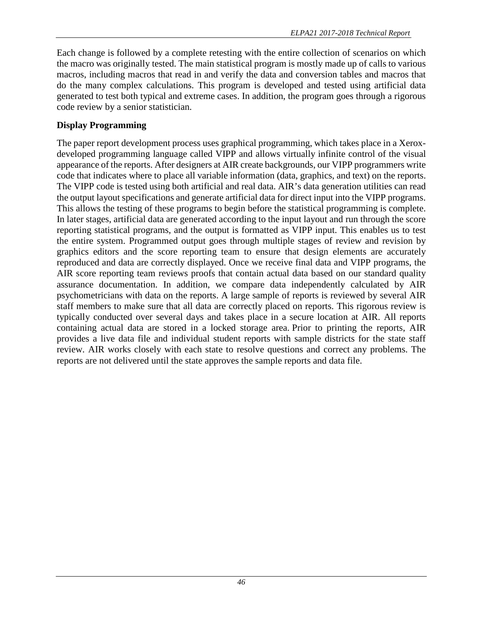Each change is followed by a complete retesting with the entire collection of scenarios on which the macro was originally tested. The main statistical program is mostly made up of calls to various macros, including macros that read in and verify the data and conversion tables and macros that do the many complex calculations. This program is developed and tested using artificial data generated to test both typical and extreme cases. In addition, the program goes through a rigorous code review by a senior statistician.

### **Display Programming**

The paper report development process uses graphical programming, which takes place in a Xeroxdeveloped programming language called VIPP and allows virtually infinite control of the visual appearance of the reports. After designers at AIR create backgrounds, our VIPP programmers write code that indicates where to place all variable information (data, graphics, and text) on the reports. The VIPP code is tested using both artificial and real data. AIR's data generation utilities can read the output layout specifications and generate artificial data for direct input into the VIPP programs. This allows the testing of these programs to begin before the statistical programming is complete. In later stages, artificial data are generated according to the input layout and run through the score reporting statistical programs, and the output is formatted as VIPP input. This enables us to test the entire system. Programmed output goes through multiple stages of review and revision by graphics editors and the score reporting team to ensure that design elements are accurately reproduced and data are correctly displayed. Once we receive final data and VIPP programs, the AIR score reporting team reviews proofs that contain actual data based on our standard quality assurance documentation. In addition, we compare data independently calculated by AIR psychometricians with data on the reports. A large sample of reports is reviewed by several AIR staff members to make sure that all data are correctly placed on reports. This rigorous review is typically conducted over several days and takes place in a secure location at AIR. All reports containing actual data are stored in a locked storage area. Prior to printing the reports, AIR provides a live data file and individual student reports with sample districts for the state staff review. AIR works closely with each state to resolve questions and correct any problems. The reports are not delivered until the state approves the sample reports and data file.